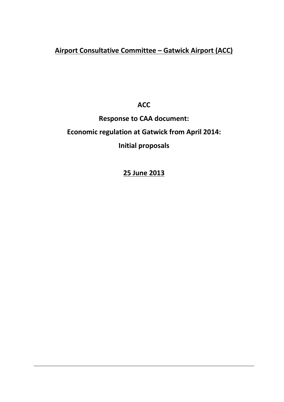# **Airport Consultative Committee – Gatwick Airport (ACC)**

**ACC** 

**Response to CAA document:**

# **Economic regulation at Gatwick from April 2014:**

# **Initial proposals**

# **25 June 2013**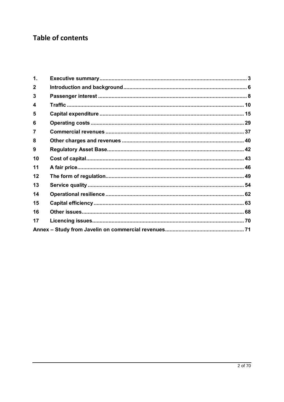# **Table of contents**

| $\mathbf 1$ .  |  |
|----------------|--|
| $\mathbf{2}$   |  |
| 3              |  |
| 4              |  |
| 5              |  |
| 6              |  |
| $\overline{7}$ |  |
| 8              |  |
| 9              |  |
| 10             |  |
| 11             |  |
| 12             |  |
| 13             |  |
| 14             |  |
| 15             |  |
| 16             |  |
| 17             |  |
|                |  |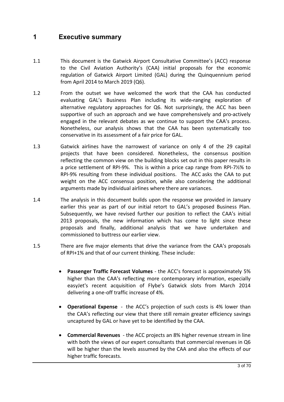# **1 Executive summary**

- 1.1 This document is the Gatwick Airport Consultative Committee's (ACC) response to the Civil Aviation Authority's (CAA) initial proposals for the economic regulation of Gatwick Airport Limited (GAL) during the Quinquennium period from April 2014 to March 2019 (Q6).
- 1.2 From the outset we have welcomed the work that the CAA has conducted evaluating GAL's Business Plan including its wide-ranging exploration of alternative regulatory approaches for Q6. Not surprisingly, the ACC has been supportive of such an approach and we have comprehensively and pro-actively engaged in the relevant debates as we continue to support the CAA's process. Nonetheless, our analysis shows that the CAA has been systematically too conservative in its assessment of a fair price for GAL.
- 1.3 Gatwick airlines have the narrowest of variance on only 4 of the 29 capital projects that have been considered. Nonetheless, the consensus position reflecting the common view on the building blocks set out in this paper results in a price settlement of RPI-9%. This is within a price cap range from RPI-7½% to RPI-9% resulting from these individual positions. The ACC asks the CAA to put weight on the ACC consensus position, while also considering the additional arguments made by individual airlines where there are variances.
- 1.4 The analysis in this document builds upon the response we provided in January earlier this year as part of our initial retort to GAL's proposed Business Plan. Subsequently, we have revised further our position to reflect the CAA's initial 2013 proposals, the new information which has come to light since these proposals and finally, additional analysis that we have undertaken and commissioned to buttress our earlier view.
- 1.5 There are five major elements that drive the variance from the CAA's proposals of RPI+1% and that of our current thinking. These include:
	- · **Passenger Traffic Forecast Volumes** the ACC's forecast is approximately 5% higher than the CAA's reflecting more contemporary information, especially easyJet's recent acquisition of Flybe's Gatwick slots from March 2014 delivering a one-off traffic increase of 4%.
	- · **Operational Expense** the ACC's projection of such costs is 4% lower than the CAA's reflecting our view that there still remain greater efficiency savings uncaptured by GAL or have yet to be identified by the CAA.
	- · **Commercial Revenues** the ACC projects an 8% higher revenue stream in line with both the views of our expert consultants that commercial revenues in Q6 will be higher than the levels assumed by the CAA and also the effects of our higher traffic forecasts.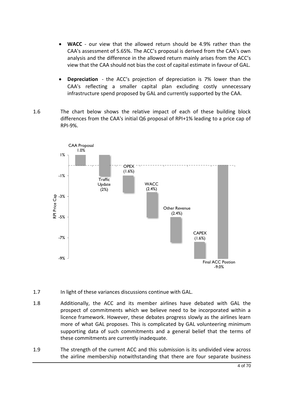- · **WACC** our view that the allowed return should be 4.9% rather than the CAA's assessment of 5.65%. The ACC's proposal is derived from the CAA's own analysis and the difference in the allowed return mainly arises from the ACC's view that the CAA should not bias the cost of capital estimate in favour of GAL.
- · **Depreciation** the ACC's projection of depreciation is 7% lower than the CAA's reflecting a smaller capital plan excluding costly unnecessary infrastructure spend proposed by GAL and currently supported by the CAA.
- 1.6 The chart below shows the relative impact of each of these building block differences from the CAA's initial Q6 proposal of RPI+1% leading to a price cap of RPI-9%.



- 1.7 In light of these variances discussions continue with GAL.
- 1.8 Additionally, the ACC and its member airlines have debated with GAL the prospect of commitments which we believe need to be incorporated within a licence framework. However, these debates progress slowly as the airlines learn more of what GAL proposes. This is complicated by GAL volunteering minimum supporting data of such commitments and a general belief that the terms of these commitments are currently inadequate.
- 1.9 The strength of the current ACC and this submission is its undivided view across the airline membership notwithstanding that there are four separate business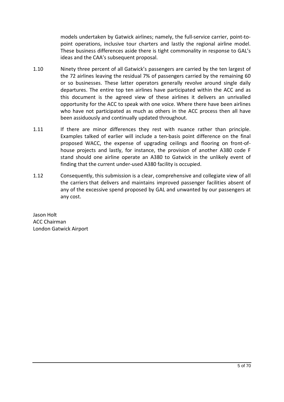models undertaken by Gatwick airlines; namely, the full-service carrier, point-topoint operations, inclusive tour charters and lastly the regional airline model. These business differences aside there is tight commonality in response to GAL's ideas and the CAA's subsequent proposal.

- 1.10 Ninety three percent of all Gatwick's passengers are carried by the ten largest of the 72 airlines leaving the residual 7% of passengers carried by the remaining 60 or so businesses. These latter operators generally revolve around single daily departures. The entire top ten airlines have participated within the ACC and as this document is the agreed view of these airlines it delivers an unrivalled opportunity for the ACC to speak with one voice. Where there have been airlines who have not participated as much as others in the ACC process then all have been assiduously and continually updated throughout.
- 1.11 If there are minor differences they rest with nuance rather than principle. Examples talked of earlier will include a ten-basis point difference on the final proposed WACC, the expense of upgrading ceilings and flooring on front-ofhouse projects and lastly, for instance, the provision of another A380 code F stand should one airline operate an A380 to Gatwick in the unlikely event of finding that the current under-used A380 facility is occupied.
- 1.12 Consequently, this submission is a clear, comprehensive and collegiate view of all the carriers that delivers and maintains improved passenger facilities absent of any of the excessive spend proposed by GAL and unwanted by our passengers at any cost.

Jason Holt ACC Chairman London Gatwick Airport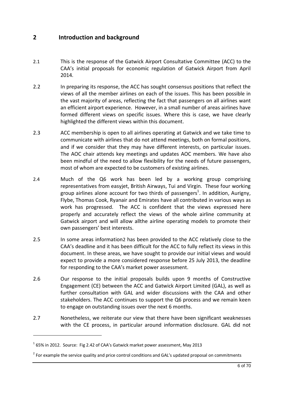# **2 Introduction and background**

- 2.1 This is the response of the Gatwick Airport Consultative Committee (ACC) to the CAA's initial proposals for economic regulation of Gatwick Airport from April 2014.
- 2.2 In preparing its response, the ACC has sought consensus positions that reflect the views of all the member airlines on each of the issues. This has been possible in the vast majority of areas, reflecting the fact that passengers on all airlines want an efficient airport experience. However, in a small number of areas airlines have formed different views on specific issues. Where this is case, we have clearly highlighted the different views within this document.
- 2.3 ACC membership is open to all airlines operating at Gatwick and we take time to communicate with airlines that do not attend meetings, both on formal positions, and if we consider that they may have different interests, on particular issues. The AOC chair attends key meetings and updates AOC members. We have also been mindful of the need to allow flexibility for the needs of future passengers, most of whom are expected to be customers of existing airlines.
- 2.4 Much of the Q6 work has been led by a working group comprising representatives from easyjet, British Airways, Tui and Virgin. These four working group airlines alone account for two thirds of passengers<sup>1</sup>. In addition, Aurigny, Flybe, Thomas Cook, Ryanair and Emirates have all contributed in various ways as work has progressed. The ACC is confident that the views expressed here properly and accurately reflect the views of the whole airline community at Gatwick airport and will allow allthe airline operating models to promote their own passengers' best interests.
- 2.5 In some areas information2 has been provided to the ACC relatively close to the CAA's deadline and it has been difficult for the ACC to fully reflect its views in this document. In these areas, we have sought to provide our initial views and would expect to provide a more considered response before 25 July 2013, the deadline for responding to the CAA's market power assessment.
- 2.6 Our response to the initial proposals builds upon 9 months of Constructive Engagement (CE) between the ACC and Gatwick Airport Limited (GAL), as well as further consultation with GAL and wider discussions with the CAA and other stakeholders. The ACC continues to support the Q6 process and we remain keen to engage on outstanding issues over the next 6 months.
- 2.7 Nonetheless, we reiterate our view that there have been significant weaknesses with the CE process, in particular around information disclosure. GAL did not

1

 $1$  65% in 2012. Source: Fig 2.42 of CAA's Gatwick market power assessment, May 2013

 $2$  For example the service quality and price control conditions and GAL's updated proposal on commitments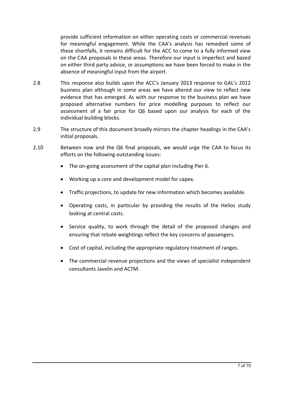provide sufficient information on either operating costs or commercial revenues for meaningful engagement. While the CAA's analysis has remedied some of these shortfalls, it remains difficult for the ACC to come to a fully informed view on the CAA proposals in these areas. Therefore our input is imperfect and based on either third party advice, or assumptions we have been forced to make in the absence of meaningful input from the airport.

- 2.8 This response also builds upon the ACC's January 2013 response to GAL's 2012 business plan although in some areas we have altered our view to reflect new evidence that has emerged. As with our response to the business plan we have proposed alternative numbers for price modelling purposes to reflect our assessment of a fair price for Q6 based upon our analysis for each of the individual building blocks.
- 2.9 The structure of this document broadly mirrors the chapter headings in the CAA's initial proposals.
- 2.10 Between now and the Q6 final proposals, we would urge the CAA to focus its efforts on the following outstanding issues:
	- · The on-going assessment of the capital plan including Pier 6.
	- · Working up a core and development model for capex.
	- · Traffic projections, to update for new information which becomes available.
	- · Operating costs, in particular by providing the results of the Helios study looking at central costs.
	- · Service quality, to work through the detail of the proposed changes and ensuring that rebate weightings reflect the key concerns of passengers.
	- · Cost of capital, including the appropriate regulatory treatment of ranges.
	- · The commercial revenue projections and the views of specialist independent consultants Javelin and ACTM.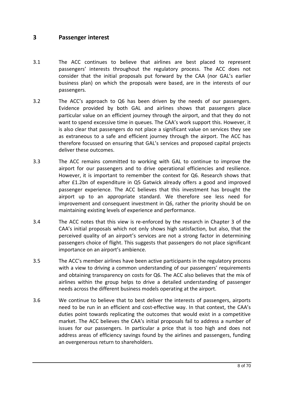# **3 Passenger interest**

- 3.1 The ACC continues to believe that airlines are best placed to represent passengers' interests throughout the regulatory process. The ACC does not consider that the initial proposals put forward by the CAA (nor GAL's earlier business plan) on which the proposals were based, are in the interests of our passengers.
- 3.2 The ACC's approach to Q6 has been driven by the needs of our passengers. Evidence provided by both GAL and airlines shows that passengers place particular value on an efficient journey through the airport, and that they do not want to spend excessive time in queues. The CAA's work support this. However, it is also clear that passengers do not place a significant value on services they see as extraneous to a safe and efficient journey through the airport. The ACC has therefore focussed on ensuring that GAL's services and proposed capital projects deliver these outcomes.
- 3.3 The ACC remains committed to working with GAL to continue to improve the airport for our passengers and to drive operational efficiencies and resilience. However, it is important to remember the context for Q6. Research shows that after £1.2bn of expenditure in Q5 Gatwick already offers a good and improved passenger experience. The ACC believes that this investment has brought the airport up to an appropriate standard. We therefore see less need for improvement and consequent investment in Q6, rather the priority should be on maintaining existing levels of experience and performance.
- 3.4 The ACC notes that this view is re-enforced by the research in Chapter 3 of the CAA's initial proposals which not only shows high satisfaction, but also, that the perceived quality of an airport's services are not a strong factor in determining passengers choice of flight. This suggests that passengers do not place significant importance on an airport's ambience.
- 3.5 The ACC's member airlines have been active participants in the regulatory process with a view to driving a common understanding of our passengers' requirements and obtaining transparency on costs for Q6. The ACC also believes that the mix of airlines within the group helps to drive a detailed understanding of passenger needs across the different business models operating at the airport.
- 3.6 We continue to believe that to best deliver the interests of passengers, airports need to be run in an efficient and cost-effective way. In that context, the CAA's duties point towards replicating the outcomes that would exist in a competitive market. The ACC believes the CAA's initial proposals fail to address a number of issues for our passengers. In particular a price that is too high and does not address areas of efficiency savings found by the airlines and passengers, funding an overgenerous return to shareholders.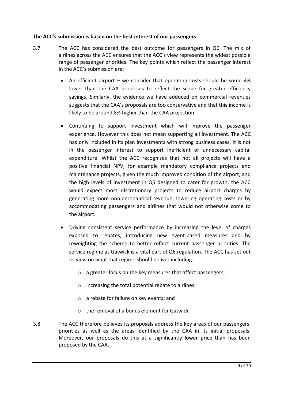# **The ACC's submission is based on the best interest of our passengers**

- 3.7 The ACC has considered the best outcome for passengers in Q6. The mix of airlines across the ACC ensures that the ACC's view represents the widest possible range of passenger priorities. The key points which reflect the passenger interest in the ACC's submission are:
	- An efficient airport we consider that operating costs should be some 4% lower than the CAA proposals to reflect the scope for greater efficiency savings. Similarly, the evidence we have adduced on commercial revenues suggests that the CAA's proposals are too conservative and that this income is likely to be around 8% higher than the CAA projection.
	- · Continuing to support investment which will improve the passenger experience. However this does not mean supporting all investment. The ACC has only included in its plan investments with strong business cases. It is not in the passenger interest to support inefficient or unnecessary capital expenditure. Whilst the ACC recognises that not all projects will have a positive financial NPV, for example mandatory compliance projects and maintenance projects, given the much improved condition of the airport, and the high levels of investment in Q5 designed to cater for growth, the ACC would expect most discretionary projects to reduce airport charges by generating more non-aeronautical revenue, lowering operating costs or by accommodating passengers and airlines that would not otherwise come to the airport.
	- · Driving consistent service performance by increasing the level of charges exposed to rebates, introducing new event-based measures and by reweighting the scheme to better reflect current passenger priorities. The service regime at Gatwick is a vital part of Q6 regulation. The ACC has set out its view on what that regime should deliver including:
		- o a greater focus on the key measures that affect passengers;
		- o increasing the total potential rebate to airlines;
		- o a rebate for failure on key events; and
		- o the removal of a bonus element for Gatwick
- 3.8 The ACC therefore believes its proposals address the key areas of our passengers' priorities as well as the areas identified by the CAA in its initial proposals. Moreover, our proposals do this at a significantly lower price than has been proposed by the CAA.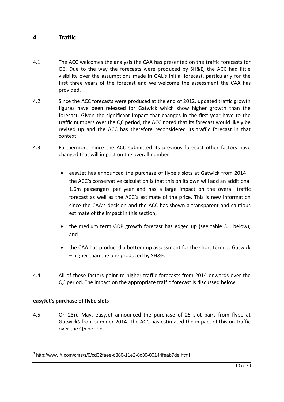# **4 Traffic**

- 4.1 The ACC welcomes the analysis the CAA has presented on the traffic forecasts for Q6. Due to the way the forecasts were produced by SH&E, the ACC had little visibility over the assumptions made in GAL's initial forecast, particularly for the first three years of the forecast and we welcome the assessment the CAA has provided.
- 4.2 Since the ACC forecasts were produced at the end of 2012, updated traffic growth figures have been released for Gatwick which show higher growth than the forecast. Given the significant impact that changes in the first year have to the traffic numbers over the Q6 period, the ACC noted that its forecast would likely be revised up and the ACC has therefore reconsidered its traffic forecast in that context.
- 4.3 Furthermore, since the ACC submitted its previous forecast other factors have changed that will impact on the overall number:
	- · easyJet has announced the purchase of flybe's slots at Gatwick from 2014 the ACC's conservative calculation is that this on its own will add an additional 1.6m passengers per year and has a large impact on the overall traffic forecast as well as the ACC's estimate of the price. This is new information since the CAA's decision and the ACC has shown a transparent and cautious estimate of the impact in this section;
	- the medium term GDP growth forecast has edged up (see table 3.1 below); and
	- the CAA has produced a bottom up assessment for the short term at Gatwick – higher than the one produced by SH&E.
- 4.4 All of these factors point to higher traffic forecasts from 2014 onwards over the Q6 period. The impact on the appropriate traffic forecast is discussed below.

# **easyJet's purchase of flybe slots**

1

4.5 On 23rd May, easyJet announced the purchase of 25 slot pairs from flybe at Gatwick3 from summer 2014. The ACC has estimated the impact of this on traffic over the Q6 period.

<sup>3</sup> http://www.ft.com/cms/s/0/cd02faee-c380-11e2-8c30-00144feab7de.html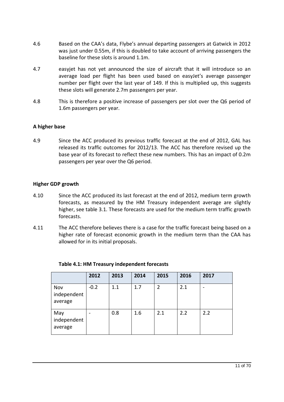- 4.6 Based on the CAA's data, Flybe's annual departing passengers at Gatwick in 2012 was just under 0.55m, if this is doubled to take account of arriving passengers the baseline for these slots is around 1.1m.
- 4.7 easyjet has not yet announced the size of aircraft that it will introduce so an average load per flight has been used based on easyJet's average passenger number per flight over the last year of 149. If this is multiplied up, this suggests these slots will generate 2.7m passengers per year.
- 4.8 This is therefore a positive increase of passengers per slot over the Q6 period of 1.6m passengers per year.

# **A higher base**

4.9 Since the ACC produced its previous traffic forecast at the end of 2012, GAL has released its traffic outcomes for 2012/13. The ACC has therefore revised up the base year of its forecast to reflect these new numbers. This has an impact of 0.2m passengers per year over the Q6 period.

## **Higher GDP growth**

- 4.10 Since the ACC produced its last forecast at the end of 2012, medium term growth forecasts, as measured by the HM Treasury independent average are slightly higher, see table 3.1. These forecasts are used for the medium term traffic growth forecasts.
- 4.11 The ACC therefore believes there is a case for the traffic forecast being based on a higher rate of forecast economic growth in the medium term than the CAA has allowed for in its initial proposals.

|                               | 2012   | 2013 | 2014 | 2015 | 2016 | 2017 |
|-------------------------------|--------|------|------|------|------|------|
| Nov<br>independent<br>average | $-0.2$ | 1.1  | 1.7  | 2    | 2.1  | -    |
| May<br>independent<br>average |        | 0.8  | 1.6  | 2.1  | 2.2  | 2.2  |

## **Table 4.1: HM Treasury independent forecasts**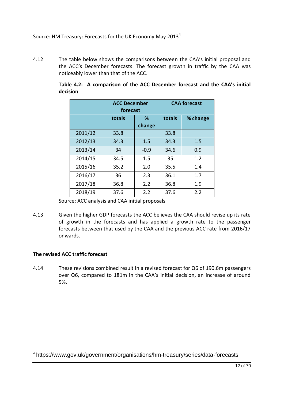# Source: HM Treasury: Forecasts for the UK Economy May 2013<sup>4</sup>

4.12 The table below shows the comparisons between the CAA's initial proposal and the ACC's December forecasts. The forecast growth in traffic by the CAA was noticeably lower than that of the ACC.

|         | <b>ACC December</b><br>forecast |             |        | <b>CAA forecast</b> |
|---------|---------------------------------|-------------|--------|---------------------|
|         | totals                          | %<br>change | totals | % change            |
| 2011/12 | 33.8                            |             | 33.8   |                     |
| 2012/13 | 34.3                            | 1.5         | 34.3   | 1.5                 |
| 2013/14 | 34                              | $-0.9$      | 34.6   | 0.9                 |
| 2014/15 | 34.5                            | $1.5\,$     | 35     | 1.2                 |
| 2015/16 | 35.2                            | 2.0         | 35.5   | 1.4                 |
| 2016/17 | 36                              | 2.3         | 36.1   | 1.7                 |
| 2017/18 | 36.8                            | 2.2         | 36.8   | 1.9                 |
| 2018/19 | 37.6                            | 2.2         | 37.6   | 2.2                 |

**Table 4.2: A comparison of the ACC December forecast and the CAA's initial decision**

Source: ACC analysis and CAA initial proposals

4.13 Given the higher GDP forecasts the ACC believes the CAA should revise up its rate of growth in the forecasts and has applied a growth rate to the passenger forecasts between that used by the CAA and the previous ACC rate from 2016/17 onwards.

# **The revised ACC traffic forecast**

-

4.14 These revisions combined result in a revised forecast for Q6 of 190.6m passengers over Q6, compared to 181m in the CAA's initial decision, an increase of around 5%.

<sup>4</sup> https://www.gov.uk/government/organisations/hm-treasury/series/data-forecasts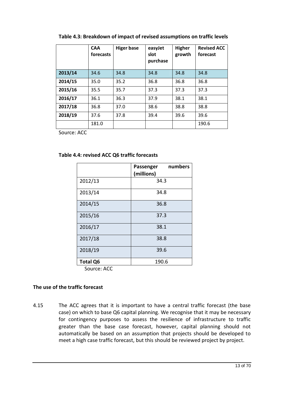|         | <b>CAA</b><br>forecasts | <b>Higer base</b> | easyJet<br>slot<br>purchase | <b>Higher</b><br>growth | <b>Revised ACC</b><br>forecast |
|---------|-------------------------|-------------------|-----------------------------|-------------------------|--------------------------------|
| 2013/14 | 34.6                    | 34.8              | 34.8                        | 34.8                    | 34.8                           |
| 2014/15 | 35.0                    | 35.2              | 36.8                        | 36.8                    | 36.8                           |
| 2015/16 | 35.5                    | 35.7              | 37.3                        | 37.3                    | 37.3                           |
| 2016/17 | 36.1                    | 36.3              | 37.9                        | 38.1                    | 38.1                           |
| 2017/18 | 36.8                    | 37.0              | 38.6                        | 38.8                    | 38.8                           |
| 2018/19 | 37.6                    | 37.8              | 39.4                        | 39.6                    | 39.6                           |
|         | 181.0                   |                   |                             |                         | 190.6                          |

# **Table 4.3: Breakdown of impact of revised assumptions on traffic levels**

Source: ACC

# **Table 4.4: revised ACC Q6 traffic forecasts**

|                 | numbers<br>Passenger<br>(millions) |
|-----------------|------------------------------------|
| 2012/13         | 34.3                               |
| 2013/14         | 34.8                               |
| 2014/15         | 36.8                               |
| 2015/16         | 37.3                               |
| 2016/17         | 38.1                               |
| 2017/18         | 38.8                               |
| 2018/19         | 39.6                               |
| <b>Total Q6</b> | 190.6                              |

Source: ACC

# **The use of the traffic forecast**

4.15 The ACC agrees that it is important to have a central traffic forecast (the base case) on which to base Q6 capital planning. We recognise that it may be necessary for contingency purposes to assess the resilience of infrastructure to traffic greater than the base case forecast, however, capital planning should not automatically be based on an assumption that projects should be developed to meet a high case traffic forecast, but this should be reviewed project by project.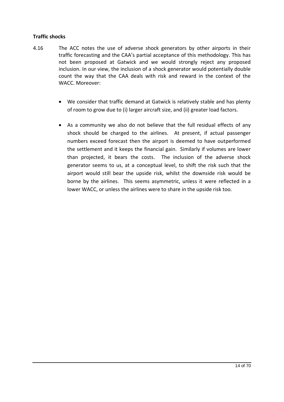# **Traffic shocks**

- 4.16 The ACC notes the use of adverse shock generators by other airports in their traffic forecasting and the CAA's partial acceptance of this methodology. This has not been proposed at Gatwick and we would strongly reject any proposed inclusion. In our view, the inclusion of a shock generator would potentially double count the way that the CAA deals with risk and reward in the context of the WACC. Moreover:
	- · We consider that traffic demand at Gatwick is relatively stable and has plenty of room to grow due to (i) larger aircraft size, and (ii) greater load factors.
	- · As a community we also do not believe that the full residual effects of any shock should be charged to the airlines. At present, if actual passenger numbers exceed forecast then the airport is deemed to have outperformed the settlement and it keeps the financial gain. Similarly if volumes are lower than projected, it bears the costs. The inclusion of the adverse shock generator seems to us, at a conceptual level, to shift the risk such that the airport would still bear the upside risk, whilst the downside risk would be borne by the airlines. This seems asymmetric, unless it were reflected in a lower WACC, or unless the airlines were to share in the upside risk too.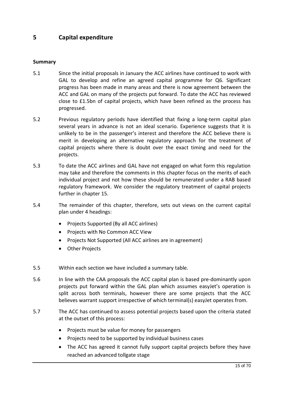# **5 Capital expenditure**

# **Summary**

- 5.1 Since the initial proposals in January the ACC airlines have continued to work with GAL to develop and refine an agreed capital programme for Q6. Significant progress has been made in many areas and there is now agreement between the ACC and GAL on many of the projects put forward. To date the ACC has reviewed close to £1.5bn of capital projects, which have been refined as the process has progressed.
- 5.2 Previous regulatory periods have identified that fixing a long-term capital plan several years in advance is not an ideal scenario. Experience suggests that it is unlikely to be in the passenger's interest and therefore the ACC believe there is merit in developing an alternative regulatory approach for the treatment of capital projects where there is doubt over the exact timing and need for the projects.
- 5.3 To date the ACC airlines and GAL have not engaged on what form this regulation may take and therefore the comments in this chapter focus on the merits of each individual project and not how these should be remunerated under a RAB based regulatory framework. We consider the regulatory treatment of capital projects further in chapter 15.
- 5.4 The remainder of this chapter, therefore, sets out views on the current capital plan under 4 headings:
	- · Projects Supported (By all ACC airlines)
	- · Projects with No Common ACC View
	- · Projects Not Supported (All ACC airlines are in agreement)
	- · Other Projects
- 5.5 Within each section we have included a summary table.
- 5.6 In line with the CAA proposals the ACC capital plan is based pre-dominantly upon projects put forward within the GAL plan which assumes easyJet's operation is split across both terminals, however there are some projects that the ACC believes warrant support irrespective of which terminal(s) easyJet operates from.
- 5.7 The ACC has continued to assess potential projects based upon the criteria stated at the outset of this process:
	- · Projects must be value for money for passengers
	- · Projects need to be supported by individual business cases
	- · The ACC has agreed it cannot fully support capital projects before they have reached an advanced tollgate stage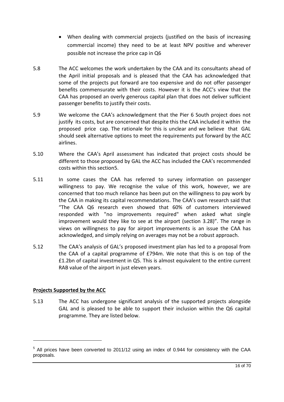- · When dealing with commercial projects (justified on the basis of increasing commercial income) they need to be at least NPV positive and wherever possible not increase the price cap in Q6
- 5.8 The ACC welcomes the work undertaken by the CAA and its consultants ahead of the April initial proposals and is pleased that the CAA has acknowledged that some of the projects put forward are too expensive and do not offer passenger benefits commensurate with their costs. However it is the ACC's view that the CAA has proposed an overly generous capital plan that does not deliver sufficient passenger benefits to justify their costs.
- 5.9 We welcome the CAA's acknowledgment that the Pier 6 South project does not justify its costs, but are concerned that despite this the CAA included it within the proposed price cap. The rationale for this is unclear and we believe that GAL should seek alternative options to meet the requirements put forward by the ACC airlines.
- 5.10 Where the CAA's April assessment has indicated that project costs should be different to those proposed by GAL the ACC has included the CAA's recommended costs within this section5.
- 5.11 In some cases the CAA has referred to survey information on passenger willingness to pay. We recognise the value of this work, however, we are concerned that too much reliance has been put on the willingness to pay work by the CAA in making its capital recommendations. The CAA's own research said that "The CAA Q6 research even showed that 60% of customers interviewed responded with "no improvements required" when asked what single improvement would they like to see at the airport (section 3.28)". The range in views on willingness to pay for airport improvements is an issue the CAA has acknowledged, and simply relying on averages may not be a robust approach.
- 5.12 The CAA's analysis of GAL's proposed investment plan has led to a proposal from the CAA of a capital programme of £794m. We note that this is on top of the £1.2bn of capital investment in Q5. This is almost equivalent to the entire current RAB value of the airport in just eleven years.

# **Projects Supported by the ACC**

-

5.13 The ACC has undergone significant analysis of the supported projects alongside GAL and is pleased to be able to support their inclusion within the Q6 capital programme. They are listed below.

<sup>5</sup> All prices have been converted to 2011/12 using an index of 0.944 for consistency with the CAA proposals.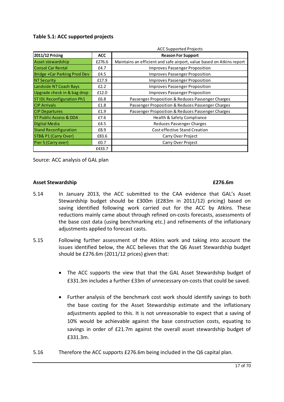# **Table 5.1: ACC supported projects**

|                                   |            | <b>ACC Supported Projects</b>                                         |
|-----------------------------------|------------|-----------------------------------------------------------------------|
| <b>2011/12 Pricing</b>            | <b>ACC</b> | <b>Reason For Support</b>                                             |
| Asset stewardship                 | £276.6     | Maintains an efficient and safe airport, value based on Atkins report |
| <b>Consol Car Rental</b>          | £4.7       | <b>Improves Passenger Proposition</b>                                 |
| Bridge +Car Parking Prod Dev      | £4.5       | Improves Passenger Proposition                                        |
| <b>NT Security</b>                | £17.9      | Improves Passenger Proposition                                        |
| Landside NT Coach Bays            | E2.2       | Improves Passenger Proposition                                        |
| Upgrade check in & bag drop       | £12.0      | <b>Improves Passenger Proposition</b>                                 |
| <b>STIDL Reconfiguration Ph1</b>  | £6.8       | Passenger Proposition & Reduces Passenger Charges                     |
| <b>CIP Arrivals</b>               | £1.8       | Passenger Proposition & Reduces Passenger Charges                     |
| <b>CIP Departures</b>             | £1.9       | Passenger Proposition & Reduces Passenger Charges                     |
| <b>ST Public Access &amp; DDA</b> | £7.6       | Health & Safety Compliance                                            |
| Digital Media                     | £4.5       | <b>Reduces Passenger Charges</b>                                      |
| <b>Stand Reconfiguration</b>      | £8.9       | <b>Cost effective Stand Creation</b>                                  |
| STB& P1 (Carry Over)              | £83.6      | Carry Over Project                                                    |
| Pier 5 (Carry over)               | £0.7       | Carry Over Project                                                    |
|                                   | £433.7     |                                                                       |

Source: ACC analysis of GAL plan

#### **Asset Stewardship £276.6m**

- 5.14 In January 2013, the ACC submitted to the CAA evidence that GAL's Asset Stewardship budget should be £300m (£283m in 2011/12) pricing) based on saving identified following work carried out for the ACC by Atkins. These reductions mainly came about through refined on-costs forecasts, assessments of the base cost data (using benchmarking etc.) and refinements of the inflationary adjustments applied to forecast casts.
- 5.15 Following further assessment of the Atkins work and taking into account the issues identified below, the ACC believes that the Q6 Asset Stewardship budget should be £276.6m (2011/12 prices) given that:
	- The ACC supports the view that that the GAL Asset Stewardship budget of £331.3m includes a further £33m of unnecessary on-costs that could be saved.
	- · Further analysis of the benchmark cost work should identify savings to both the base costing for the Asset Stewardship estimate and the inflationary adjustments applied to this. It is not unreasonable to expect that a saving of 10% would be achievable against the base construction costs, equating to savings in order of £21.7m against the overall asset stewardship budget of £331.3m.
- 5.16 Therefore the ACC supports £276.6m being included in the Q6 capital plan.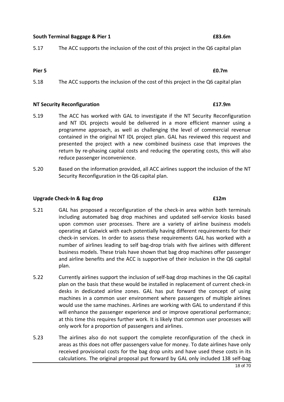# **South Terminal Baggage & Pier 1 £83.6m**

5.17 The ACC supports the inclusion of the cost of this project in the Q6 capital plan

# **Pier 5 £0.7m**

5.18 The ACC supports the inclusion of the cost of this project in the Q6 capital plan

## **NT Security Reconfiguration £17.9m**

- 5.19 The ACC has worked with GAL to investigate if the NT Security Reconfiguration and NT IDL projects would be delivered in a more efficient manner using a programme approach, as well as challenging the level of commercial revenue contained in the original NT IDL project plan. GAL has reviewed this request and presented the project with a new combined business case that improves the return by re-phasing capital costs and reducing the operating costs, this will also reduce passenger inconvenience.
- 5.20 Based on the information provided, all ACC airlines support the inclusion of the NT Security Reconfiguration in the Q6 capital plan.

# **Upgrade Check-In & Bag drop £12m**

- 5.21 GAL has proposed a reconfiguration of the check-in area within both terminals including automated bag drop machines and updated self-service kiosks based upon common user processes. There are a variety of airline business models operating at Gatwick with each potentially having different requirements for their check-in services. In order to assess these requirements GAL has worked with a number of airlines leading to self bag-drop trials with five airlines with different business models. These trials have shown that bag drop machines offer passenger and airline benefits and the ACC is supportive of their inclusion in the Q6 capital plan.
- 5.22 Currently airlines support the inclusion of self-bag drop machines in the Q6 capital plan on the basis that these would be installed in replacement of current check-in desks in dedicated airline zones. GAL has put forward the concept of using machines in a common user environment where passengers of multiple airlines would use the same machines. Airlines are working with GAL to understand if this will enhance the passenger experience and or improve operational performance; at this time this requires further work. It is likely that common user processes will only work for a proportion of passengers and airlines.
- 5.23 The airlines also do not support the complete reconfiguration of the check in areas as this does not offer passengers value for money. To date airlines have only received provisional costs for the bag drop units and have used these costs in its calculations. The original proposal put forward by GAL only included 138 self-bag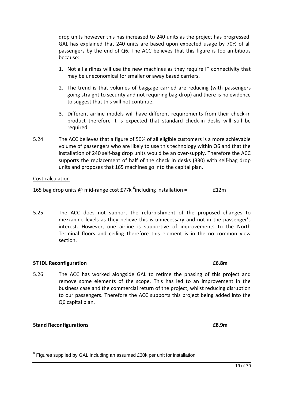drop units however this has increased to 240 units as the project has progressed. GAL has explained that 240 units are based upon expected usage by 70% of all passengers by the end of Q6. The ACC believes that this figure is too ambitious because:

- 1. Not all airlines will use the new machines as they require IT connectivity that may be uneconomical for smaller or away based carriers.
- 2. The trend is that volumes of baggage carried are reducing (with passengers going straight to security and not requiring bag-drop) and there is no evidence to suggest that this will not continue.
- 3. Different airline models will have different requirements from their check-in product therefore it is expected that standard check-in desks will still be required.
- 5.24 The ACC believes that a figure of 50% of all eligible customers is a more achievable volume of passengers who are likely to use this technology within Q6 and that the installation of 240 self-bag drop units would be an over-supply. Therefore the ACC supports the replacement of half of the check in desks (330) with self-bag drop units and proposes that 165 machines go into the capital plan.

# Cost calculation

165 bag drop units @ mid-range cost  $E$ 77k <sup>6</sup>including installation =  $E12m$ 

5.25 The ACC does not support the refurbishment of the proposed changes to mezzanine levels as they believe this is unnecessary and not in the passenger's interest. However, one airline is supportive of improvements to the North Terminal floors and ceiling therefore this element is in the no common view section.

## **ST IDL Reconfiguration £6.8m**

5.26 The ACC has worked alongside GAL to retime the phasing of this project and remove some elements of the scope. This has led to an improvement in the business case and the commercial return of the project, whilst reducing disruption to our passengers. Therefore the ACC supports this project being added into the Q6 capital plan.

## **Stand Reconfigurations £8.9m**

1

19 of 70

 $6$  Figures supplied by GAL including an assumed £30k per unit for installation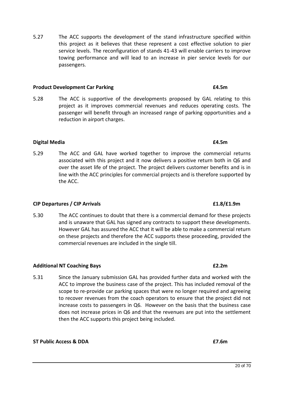5.27 The ACC supports the development of the stand infrastructure specified within this project as it believes that these represent a cost effective solution to pier service levels. The reconfiguration of stands 41-43 will enable carriers to improve towing performance and will lead to an increase in pier service levels for our passengers.

#### **Product Development Car Parking £4.5m**

5.28 The ACC is supportive of the developments proposed by GAL relating to this project as it improves commercial revenues and reduces operating costs. The passenger will benefit through an increased range of parking opportunities and a reduction in airport charges.

## **Digital Media £4.5m**

5.29 The ACC and GAL have worked together to improve the commercial returns associated with this project and it now delivers a positive return both in Q6 and over the asset life of the project. The project delivers customer benefits and is in line with the ACC principles for commercial projects and is therefore supported by the ACC.

#### **CIP Departures / CIP Arrivals £1.8/£1.9m**

5.30 The ACC continues to doubt that there is a commercial demand for these projects and is unaware that GAL has signed any contracts to support these developments. However GAL has assured the ACC that it will be able to make a commercial return on these projects and therefore the ACC supports these proceeding, provided the commercial revenues are included in the single till.

## **Additional NT Coaching Bays £2.2m**

5.31 Since the January submission GAL has provided further data and worked with the ACC to improve the business case of the project. This has included removal of the scope to re-provide car parking spaces that were no longer required and agreeing to recover revenues from the coach operators to ensure that the project did not increase costs to passengers in Q6. However on the basis that the business case does not increase prices in Q6 and that the revenues are put into the settlement then the ACC supports this project being included.

## **ST Public Access & DDA £7.6m**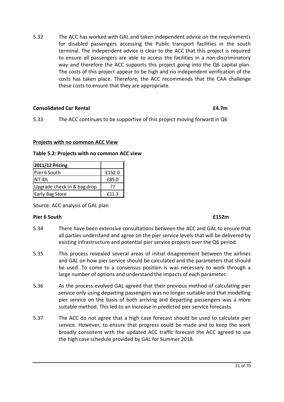5.32 The ACC has worked with GAL and taken independent advice on the requirements for disabled passengers accessing the Public transport facilities in the south terminal. The independent advice is clear to the ACC that this project is required to ensure all passengers are able to access the facilities in a non-discriminatory way and therefore the ACC supports this project going into the Q6 capital plan. The costs of this project appear to be high and no independent verification of the costs has taken place. Therefore, the ACC recommends that the CAA challenge these costs to ensure that they are appropriate.

# **Consolidated Car Rental £4.7m**

5.33 The ACC continues to be supportive of this project moving forward in Q6

# **Projects with no common ACC View**

**Table 5.2: Projects with no common ACC view**

| 2011/12 Pricing             |        |
|-----------------------------|--------|
| Pier 6 South                | £152.0 |
| <b>NTIDL</b>                | £85.0  |
| Upgrade check in & bag drop | 77     |
| <b>Early Bag Store</b>      | f11.3  |

Source: ACC analysis of GAL plan

## **Pier 6 South £152m**

- 5.34 There have been extensive consultations between the ACC and GAL to ensure that all parties understand and agree on the pier service levels that will be delivered by existing infrastructure and potential pier service projects over the Q6 period.
- 5.35 This process revealed several areas of initial disagreement between the airlines and GAL on how pier service should be calculated and the parameters that should be used. To come to a consensus position is was necessary to work through a large number of options and understand the impacts of each parameter.
- 5.36 As the process evolved GAL agreed that their previous method of calculating pier service only using departing passengers was no longer suitable and that modelling pier service on the basis of both arriving and departing passengers was a more suitable method. This led to an increase in predicted pier service forecasts.
- 5.37 The ACC do not agree that a high case forecast should be used to calculate pier service. However, to ensure that progress could be made and to keep the work broadly consistent with the updated ACC traffic forecast the ACC agreed to use the high case schedule provided by GAL for Summer 2018.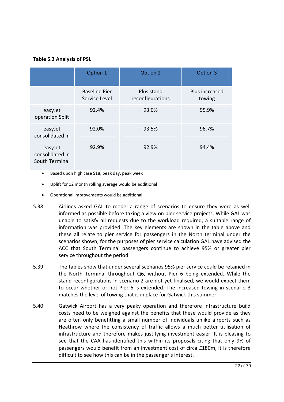# **Table 5.3 Analysis of PSL**

|                                              | Option 1                              | Option 2                       | Option 3                 |
|----------------------------------------------|---------------------------------------|--------------------------------|--------------------------|
|                                              | <b>Baseline Pier</b><br>Service Level | Plus stand<br>reconfigurations | Plus increased<br>towing |
| easyJet<br>operation Split                   | 92.4%                                 | 93.0%                          | 95.9%                    |
| easyJet<br>consolidated in                   | 92.0%                                 | 93.5%                          | 96.7%                    |
| easyJet<br>consolidated in<br>South Terminal | 92.9%                                 | 92.9%                          | 94.4%                    |

- · Based upon high case S18, peak day, peak week
- · Uplift for 12 month rolling average would be additional
- · Operational improvements would be additional
- 5.38 Airlines asked GAL to model a range of scenarios to ensure they were as well informed as possible before taking a view on pier service projects. While GAL was unable to satisfy all requests due to the workload required, a suitable range of information was provided. The key elements are shown in the table above and these all relate to pier service for passengers in the North terminal under the scenarios shown; for the purposes of pier service calculation GAL have advised the ACC that South Terminal passengers continue to achieve 95% or greater pier service throughout the period.
- 5.39 The tables show that under several scenarios 95% pier service could be retained in the North Terminal throughout Q6, without Pier 6 being extended. While the stand reconfigurations in scenario 2 are not yet finalised, we would expect them to occur whether or not Pier 6 is extended. The increased towing in scenario 3 matches the level of towing that is in place for Gatwick this summer.
- 5.40 Gatwick Airport has a very peaky operation and therefore infrastructure build costs need to be weighed against the benefits that these would provide as they are often only benefitting a small number of individuals unlike airports such as Heathrow where the consistency of traffic allows a much better utilisation of infrastructure and therefore makes justifying investment easier. It is pleasing to see that the CAA has identified this within its proposals citing that only 9% of passengers would benefit from an investment cost of circa £180m, it is therefore difficult to see how this can be in the passenger's interest.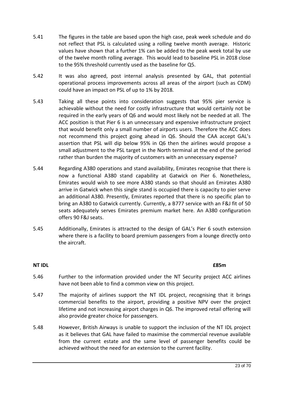- 5.41 The figures in the table are based upon the high case, peak week schedule and do not reflect that PSL is calculated using a rolling twelve month average. Historic values have shown that a further 1% can be added to the peak week total by use of the twelve month rolling average. This would lead to baseline PSL in 2018 close to the 95% threshold currently used as the baseline for Q5.
- 5.42 It was also agreed, post internal analysis presented by GAL, that potential operational process improvements across all areas of the airport (such as CDM) could have an impact on PSL of up to 1% by 2018.
- 5.43 Taking all these points into consideration suggests that 95% pier service is achievable without the need for costly infrastructure that would certainly not be required in the early years of Q6 and would most likely not be needed at all. The ACC position is that Pier 6 is an unnecessary and expensive infrastructure project that would benefit only a small number of airports users. Therefore the ACC does not recommend this project going ahead in Q6. Should the CAA accept GAL's assertion that PSL will dip below 95% in Q6 then the airlines would propose a small adjustment to the PSL target in the North terminal at the end of the period rather than burden the majority of customers with an unnecessary expense?
- 5.44 Regarding A380 operations and stand availability, Emirates recognise that there is now a functional A380 stand capability at Gatwick on Pier 6. Nonetheless, Emirates would wish to see more A380 stands so that should an Emirates A380 arrive in Gatwick when this single stand is occupied there is capacity to pier serve an additional A380. Presently, Emirates reported that there is no specific plan to bring an A380 to Gatwick currently. Currently, a B777 service with an F&J fit of 50 seats adequately serves Emirates premium market here. An A380 configuration offers 90 F&J seats.
- 5.45 Additionally, Emirates is attracted to the design of GAL's Pier 6 south extension where there is a facility to board premium passengers from a lounge directly onto the aircraft.

# **NT IDL £85m**

- 5.46 Further to the information provided under the NT Security project ACC airlines have not been able to find a common view on this project.
- 5.47 The majority of airlines support the NT IDL project, recognising that it brings commercial benefits to the airport, providing a positive NPV over the project lifetime and not increasing airport charges in Q6. The improved retail offering will also provide greater choice for passengers.
- 5.48 However, British Airways is unable to support the inclusion of the NT IDL project as it believes that GAL have failed to maximise the commercial revenue available from the current estate and the same level of passenger benefits could be achieved without the need for an extension to the current facility.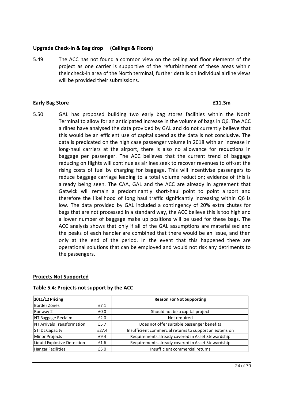# **Upgrade Check-In & Bag drop (Ceilings & Floors)**

5.49 The ACC has not found a common view on the ceiling and floor elements of the project as one carrier is supportive of the refurbishment of these areas within their check-in area of the North terminal, further details on individual airline views will be provided their submissions.

## **Early Bag Store £11.3m**

5.50 GAL has proposed building two early bag stores facilities within the North Terminal to allow for an anticipated increase in the volume of bags in Q6. The ACC airlines have analysed the data provided by GAL and do not currently believe that this would be an efficient use of capital spend as the data is not conclusive. The data is predicated on the high case passenger volume in 2018 with an increase in long-haul carriers at the airport, there is also no allowance for reductions in baggage per passenger. The ACC believes that the current trend of baggage reducing on flights will continue as airlines seek to recover revenues to off-set the rising costs of fuel by charging for baggage. This will incentivise passengers to reduce baggage carriage leading to a total volume reduction; evidence of this is already being seen. The CAA, GAL and the ACC are already in agreement that Gatwick will remain a predominantly short-haul point to point airport and therefore the likelihood of long haul traffic significantly increasing within Q6 is low. The data provided by GAL included a contingency of 20% extra chutes for bags that are not processed in a standard way, the ACC believe this is too high and a lower number of baggage make up positions will be used for these bags. The ACC analysis shows that only if all of the GAL assumptions are materialised and the peaks of each handler are combined that there would be an issue, and then only at the end of the period. In the event that this happened there are operational solutions that can be employed and would not risk any detriments to the passengers.

## **Projects Not Supported**

| 2011/12 Pricing            |       | <b>Reason For Not Supporting</b>                        |
|----------------------------|-------|---------------------------------------------------------|
| <b>Border Zones</b>        | £7.1  |                                                         |
| Runway 2                   | £0.0  | Should not be a capital project                         |
| NT Baggage Reclaim         | £2.0  | Not required                                            |
| NT Arrivals Transformation | £5.7  | Does not offer suitable passenger benefits              |
| <b>ST IDL Capacity</b>     | £27.4 | Insufficient commercial returns to support an extension |
| Minor Projects             | £9.4  | Requirements already covered in Asset Stewardship       |
| Liquid Explosive Detection | £1.6  | Requirements already covered in Asset Stewardship       |
| <b>Hangar Facilities</b>   | £5.0  | Insufficient commercial returns                         |

#### **Table 5.4: Projects not support by the ACC**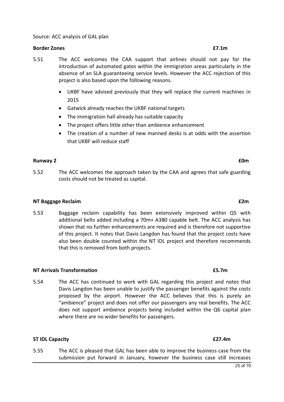#### Source: ACC analysis of GAL plan

#### **Border Zones £7.1m**

- 5.51 The ACC welcomes the CAA support that airlines should not pay for the introduction of automated gates within the immigration areas particularly in the absence of an SLA guaranteeing service levels. However the ACC rejection of this project is also based upon the following reasons.
	- · UKBF have advised previously that they will replace the current machines in 2015
	- · Gatwick already reaches the UKBF national targets
	- The immigration hall already has suitable capacity
	- · The project offers little other than ambience enhancement
	- · The creation of a number of new manned desks is at odds with the assertion that UKBF will reduce staff

## **Runway 2 £0m**

5.52 The ACC welcomes the approach taken by the CAA and agrees that safe guarding costs should not be treated as capital.

#### **NT Baggage Reclaim £2m**

5.53 Baggage reclaim capability has been extensively improved within Q5 with additional belts added including a 70m+ A380 capable belt. The ACC analysis has shown that no further enhancements are required and is therefore not supportive of this project. It notes that Davis Langdon has found that the project costs have also been double counted within the NT IDL project and therefore recommends that this is removed from both projects.

#### **NT Arrivals Transformation £5.7m**

5.54 The ACC has continued to work with GAL regarding this project and notes that Davis Langdon has been unable to justify the passenger benefits against the costs proposed by the airport. However the ACC believes that this is purely an "ambience" project and does not offer our passengers any real benefits. The ACC does not support ambience projects being included within the Q6 capital plan where there are no wider benefits for passengers.

#### **ST IDL Capacity £27.4m**

5.55 The ACC is pleased that GAL has been able to improve the business case from the submission put forward in January, however the business case still increases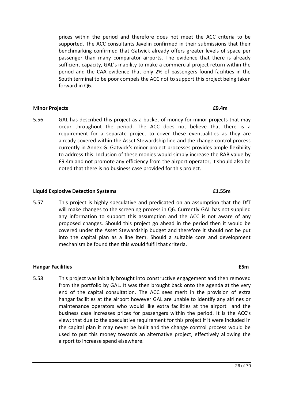prices within the period and therefore does not meet the ACC criteria to be supported. The ACC consultants Javelin confirmed in their submissions that their benchmarking confirmed that Gatwick already offers greater levels of space per passenger than many comparator airports. The evidence that there is already sufficient capacity, GAL's inability to make a commercial project return within the period and the CAA evidence that only 2% of passengers found facilities in the South terminal to be poor compels the ACC not to support this project being taken forward in Q6.

# M**inor Projects £9.4m**

5.56 GAL has described this project as a bucket of money for minor projects that may occur throughout the period. The ACC does not believe that there is a requirement for a separate project to cover these eventualities as they are already covered within the Asset Stewardship line and the change control process currently in Annex G. Gatwick's minor project processes provides ample flexibility to address this. Inclusion of these monies would simply increase the RAB value by £9.4m and not promote any efficiency from the airport operator, it should also be noted that there is no business case provided for this project.

## **Liquid Explosive Detection Systems £1.55m**

5.57 This project is highly speculative and predicated on an assumption that the DfT will make changes to the screening process in Q6. Currently GAL has not supplied any information to support this assumption and the ACC is not aware of any proposed changes. Should this project go ahead in the period then it would be covered under the Asset Stewardship budget and therefore it should not be put into the capital plan as a line item. Should a suitable core and development mechanism be found then this would fulfil that criteria.

## **Hangar Facilities £5m**

5.58 This project was initially brought into constructive engagement and then removed from the portfolio by GAL. It was then brought back onto the agenda at the very end of the capital consultation. The ACC sees merit in the provision of extra hangar facilities at the airport however GAL are unable to identify any airlines or maintenance operators who would like extra facilities at the airport and the business case increases prices for passengers within the period. It is the ACC's view; that due to the speculative requirement for this project if it were included in the capital plan it may never be built and the change control process would be used to put this money towards an alternative project, effectively allowing the airport to increase spend elsewhere.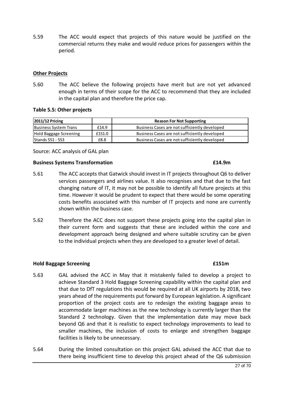5.59 The ACC would expect that projects of this nature would be justified on the commercial returns they make and would reduce prices for passengers within the period.

## **Other Projects**

5.60 The ACC believe the following projects have merit but are not yet advanced enough in terms of their scope for the ACC to recommend that they are included in the capital plan and therefore the price cap.

## **Table 5.5: Other projects**

| <b>2011/12 Pricing</b>       |        | <b>Reason For Not Supporting</b>              |
|------------------------------|--------|-----------------------------------------------|
| <b>Business System Trans</b> | £14.9  | Business Cases are not sufficiently developed |
| Hold Baggage Screening       | £151.0 | Business Cases are not sufficiently developed |
| <b>Stands 551 - 553</b>      | £8.8   | Business Cases are not sufficiently developed |

Source: ACC analysis of GAL plan

## **Business Systems Transformation £14.9m**

- 5.61 The ACC accepts that Gatwick should invest in IT projects throughout Q6 to deliver services passengers and airlines value. It also recognises and that due to the fast changing nature of IT, it may not be possible to identify all future projects at this time. However it would be prudent to expect that there would be some operating costs benefits associated with this number of IT projects and none are currently shown within the business case.
- 5.62 Therefore the ACC does not support these projects going into the capital plan in their current form and suggests that these are included within the core and development approach being designed and where suitable scrutiny can be given to the individual projects when they are developed to a greater level of detail.

## **Hold Baggage Screening £151m**

- 5.63 GAL advised the ACC in May that it mistakenly failed to develop a project to achieve Standard 3 Hold Baggage Screening capability within the capital plan and that due to DfT regulations this would be required at all UK airports by 2018, two years ahead of the requirements put forward by European legislation. A significant proportion of the project costs are to redesign the existing baggage areas to accommodate larger machines as the new technology is currently larger than the Standard 2 technology. Given that the implementation date may move back beyond Q6 and that it is realistic to expect technology improvements to lead to smaller machines, the inclusion of costs to enlarge and strengthen baggage facilities is likely to be unnecessary.
- 5.64 During the limited consultation on this project GAL advised the ACC that due to there being insufficient time to develop this project ahead of the Q6 submission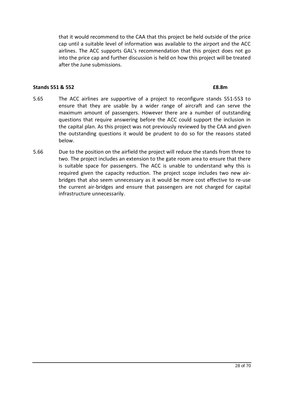that it would recommend to the CAA that this project be held outside of the price cap until a suitable level of information was available to the airport and the ACC airlines. The ACC supports GAL's recommendation that this project does not go into the price cap and further discussion is held on how this project will be treated after the June submissions.

#### **Stands 551 & 552 £8.8m**

- 5.65 The ACC airlines are supportive of a project to reconfigure stands 551-553 to ensure that they are usable by a wider range of aircraft and can serve the maximum amount of passengers. However there are a number of outstanding questions that require answering before the ACC could support the inclusion in the capital plan. As this project was not previously reviewed by the CAA and given the outstanding questions it would be prudent to do so for the reasons stated below.
- 5.66 Due to the position on the airfield the project will reduce the stands from three to two. The project includes an extension to the gate room area to ensure that there is suitable space for passengers. The ACC is unable to understand why this is required given the capacity reduction. The project scope includes two new airbridges that also seem unnecessary as it would be more cost effective to re-use the current air-bridges and ensure that passengers are not charged for capital infrastructure unnecessarily.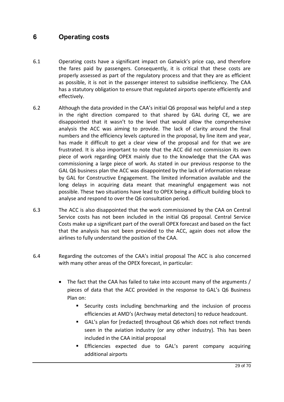# **6 Operating costs**

- 6.1 Operating costs have a significant impact on Gatwick's price cap, and therefore the fares paid by passengers. Consequently, it is critical that these costs are properly assessed as part of the regulatory process and that they are as efficient as possible, it is not in the passenger interest to subsidise inefficiency. The CAA has a statutory obligation to ensure that regulated airports operate efficiently and effectively.
- 6.2 Although the data provided in the CAA's initial Q6 proposal was helpful and a step in the right direction compared to that shared by GAL during CE, we are disappointed that it wasn't to the level that would allow the comprehensive analysis the ACC was aiming to provide. The lack of clarity around the final numbers and the efficiency levels captured in the proposal, by line item and year, has made it difficult to get a clear view of the proposal and for that we are frustrated. It is also important to note that the ACC did not commission its own piece of work regarding OPEX mainly due to the knowledge that the CAA was commissioning a large piece of work. As stated in our previous response to the GAL Q6 business plan the ACC was disappointed by the lack of information release by GAL for Constructive Engagement. The limited information available and the long delays in acquiring data meant that meaningful engagement was not possible. These two situations have lead to OPEX being a difficult building block to analyse and respond to over the Q6 consultation period.
- 6.3 The ACC is also disappointed that the work commissioned by the CAA on Central Service costs has not been included in the initial Q6 proposal. Central Service Costs make up a significant part of the overall OPEX forecast and based on the fact that the analysis has not been provided to the ACC, again does not allow the airlines to fully understand the position of the CAA.
- 6.4 Regarding the outcomes of the CAA's initial proposal The ACC is also concerned with many other areas of the OPEX forecast, in particular:
	- The fact that the CAA has failed to take into account many of the arguments / pieces of data that the ACC provided in the response to GAL's Q6 Business Plan on:
		- **E** Security costs including benchmarking and the inclusion of process efficiencies at AMD's (Archway metal detectors) to reduce headcount.
		- GAL's plan for [redacted] throughout Q6 which does not reflect trends seen in the aviation industry (or any other industry). This has been included in the CAA initial proposal
		- **Efficiencies expected due to GAL's parent company acquiring** additional airports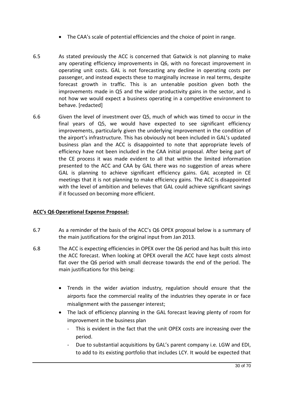- · The CAA's scale of potential efficiencies and the choice of point in range.
- 6.5 As stated previously the ACC is concerned that Gatwick is not planning to make any operating efficiency improvements in Q6, with no forecast improvement in operating unit costs. GAL is not forecasting any decline in operating costs per passenger, and instead expects these to marginally increase in real terms, despite forecast growth in traffic. This is an untenable position given both the improvements made in Q5 and the wider productivity gains in the sector, and is not how we would expect a business operating in a competitive environment to behave. [redacted]
- 6.6 Given the level of investment over Q5, much of which was timed to occur in the final years of Q5, we would have expected to see significant efficiency improvements, particularly given the underlying improvement in the condition of the airport's infrastructure. This has obviously not been included in GAL's updated business plan and the ACC is disappointed to note that appropriate levels of efficiency have not been included in the CAA initial proposal. After being part of the CE process it was made evident to all that within the limited information presented to the ACC and CAA by GAL there was no suggestion of areas where GAL is planning to achieve significant efficiency gains. GAL accepted in CE meetings that it is not planning to make efficiency gains. The ACC is disappointed with the level of ambition and believes that GAL could achieve significant savings if it focussed on becoming more efficient.

# **ACC's Q6 Operational Expense Proposal:**

- 6.7 As a reminder of the basis of the ACC's Q6 OPEX proposal below is a summary of the main justifications for the original input from Jan 2013.
- 6.8 The ACC is expecting efficiencies in OPEX over the Q6 period and has built this into the ACC forecast. When looking at OPEX overall the ACC have kept costs almost flat over the Q6 period with small decrease towards the end of the period. The main justifications for this being:
	- · Trends in the wider aviation industry, regulation should ensure that the airports face the commercial reality of the industries they operate in or face misalignment with the passenger interest;
	- · The lack of efficiency planning in the GAL forecast leaving plenty of room for improvement in the business plan
		- This is evident in the fact that the unit OPEX costs are increasing over the period.
		- Due to substantial acquisitions by GAL's parent company i.e. LGW and EDI, to add to its existing portfolio that includes LCY. It would be expected that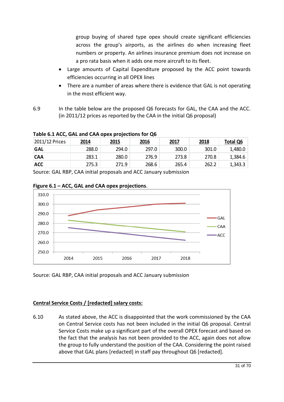group buying of shared type opex should create significant efficiencies across the group's airports, as the airlines do when increasing fleet numbers or property. An airlines insurance premium does not increase on a pro rata basis when it adds one more aircraft to its fleet.

- · Large amounts of Capital Expenditure proposed by the ACC point towards efficiencies occurring in all OPEX lines
- There are a number of areas where there is evidence that GAL is not operating in the most efficient way.
- 6.9 In the table below are the proposed Q6 forecasts for GAL, the CAA and the ACC. (in 2011/12 prices as reported by the CAA in the initial Q6 proposal)

| 2011/12 Prices | 2014  | <u> 2015</u> | 2016  | 2017  | 2018  | <b>Total Q6</b> |  |  |  |
|----------------|-------|--------------|-------|-------|-------|-----------------|--|--|--|
| GAL            | 288.0 | 294.0        | 297.0 | 300.0 | 301.0 | 1,480.0         |  |  |  |
| <b>CAA</b>     | 283.1 | 280.0        | 276.9 | 273.8 | 270.8 | 1,384.6         |  |  |  |
| <b>ACC</b>     | 275.3 | 271.9        | 268.6 | 265.4 | 262.2 | 1,343.3         |  |  |  |
| $\cdots$       |       |              |       |       |       |                 |  |  |  |

**Table 6.1 ACC, GAL and CAA opex projections for Q6**

Source: GAL RBP, CAA initial proposals and ACC January submission



# **Figure 6.1 – ACC, GAL and CAA opex projections**.

Source: GAL RBP, CAA initial proposals and ACC January submission

# **Central Service Costs / [redacted] salary costs:**

6.10 As stated above, the ACC is disappointed that the work commissioned by the CAA on Central Service costs has not been included in the initial Q6 proposal. Central Service Costs make up a significant part of the overall OPEX forecast and based on the fact that the analysis has not been provided to the ACC, again does not allow the group to fully understand the position of the CAA. Considering the point raised above that GAL plans [redacted] in staff pay throughout Q6 [redacted].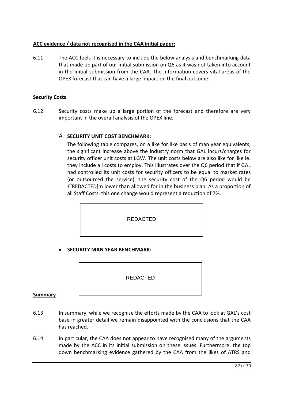# **ACC evidence / data not recognised in the CAA initial paper:**

6.11 The ACC feels it is necessary to include the below analysis and benchmarking data that made up part of our initial submission on Q6 as it was not taken into account in the initial submission from the CAA. The information covers vital areas of the OPEX forecast that can have a large impact on the final outcome.

# **Security Costs**

6.12 Security costs make up a large portion of the forecast and therefore are very important in the overall analysis of the OPEX line.

# • **SECURITY UNIT COST BENCHMARK:**

The following table compares, on a like for like basis of man year equivalents, the significant increase above the industry norm that GAL incurs/charges for security officer unit costs at LGW. The unit costs below are also like for like ie. they include all costs to employ. This illustrates over the Q6 period that if GAL had controlled its unit costs for security officers to be equal to market rates (or outsourced the service), the security cost of the Q6 period would be £[REDACTED]m lower than allowed for in the business plan. As a proportion of all Staff Costs, this one change would represent a reduction of 7%.

REDACTED

· **SECURITY MAN YEAR BENCHMARK:**

REDACTED

## **Summary**

- 6.13 In summary, while we recognise the efforts made by the CAA to look at GAL's cost base in greater detail we remain disappointed with the conclusions that the CAA has reached.
- 6.14 In particular, the CAA does not appear to have recognised many of the arguments made by the ACC in its initial submission on these issues. Furthermore, the top down benchmarking evidence gathered by the CAA from the likes of ATRS and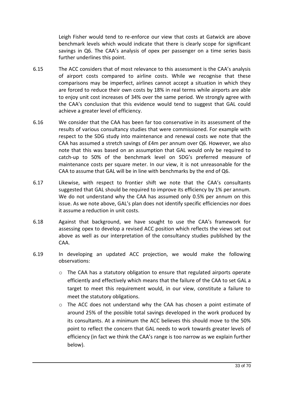Leigh Fisher would tend to re-enforce our view that costs at Gatwick are above benchmark levels which would indicate that there is clearly scope for significant savings in Q6. The CAA's analysis of opex per passenger on a time series basis further underlines this point.

- 6.15 The ACC considers that of most relevance to this assessment is the CAA's analysis of airport costs compared to airline costs. While we recognise that these comparisons may be imperfect, airlines cannot accept a situation in which they are forced to reduce their own costs by 18% in real terms while airports are able to enjoy unit cost increases of 34% over the same period. We strongly agree with the CAA's conclusion that this evidence would tend to suggest that GAL could achieve a greater level of efficiency.
- 6.16 We consider that the CAA has been far too conservative in its assessment of the results of various consultancy studies that were commissioned. For example with respect to the SDG study into maintenance and renewal costs we note that the CAA has assumed a stretch savings of £4m per annum over Q6. However, we also note that this was based on an assumption that GAL would only be required to catch-up to 50% of the benchmark level on SDG's preferred measure of maintenance costs per square meter. In our view, it is not unreasonable for the CAA to assume that GAL will be in line with benchmarks by the end of Q6.
- 6.17 Likewise, with respect to frontier shift we note that the CAA's consultants suggested that GAL should be required to improve its efficiency by 1% per annum. We do not understand why the CAA has assumed only 0.5% per annum on this issue. As we note above, GAL's plan does not identify specific efficiencies nor does it assume a reduction in unit costs.
- 6.18 Against that background, we have sought to use the CAA's framework for assessing opex to develop a revised ACC position which reflects the views set out above as well as our interpretation of the consultancy studies published by the CAA.
- 6.19 In developing an updated ACC projection, we would make the following observations:
	- o The CAA has a statutory obligation to ensure that regulated airports operate efficiently and effectively which means that the failure of the CAA to set GAL a target to meet this requirement would, in our view, constitute a failure to meet the statutory obligations.
	- o The ACC does not understand why the CAA has chosen a point estimate of around 25% of the possible total savings developed in the work produced by its consultants. At a minimum the ACC believes this should move to the 50% point to reflect the concern that GAL needs to work towards greater levels of efficiency (in fact we think the CAA's range is too narrow as we explain further below).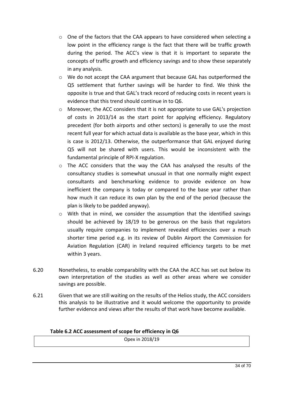- o One of the factors that the CAA appears to have considered when selecting a low point in the efficiency range is the fact that there will be traffic growth during the period. The ACC's view is that it is important to separate the concepts of traffic growth and efficiency savings and to show these separately in any analysis.
- o We do not accept the CAA argument that because GAL has outperformed the Q5 settlement that further savings will be harder to find. We think the opposite is true and that GAL's track record of reducing costs in recent years is evidence that this trend should continue in to Q6.
- o Moreover, the ACC considers that it is not appropriate to use GAL's projection of costs in 2013/14 as the start point for applying efficiency. Regulatory precedent (for both airports and other sectors) is generally to use the most recent full year for which actual data is available as the base year, which in this is case is 2012/13. Otherwise, the outperformance that GAL enjoyed during Q5 will not be shared with users. This would be inconsistent with the fundamental principle of RPI-X regulation.
- o The ACC considers that the way the CAA has analysed the results of the consultancy studies is somewhat unusual in that one normally might expect consultants and benchmarking evidence to provide evidence on how inefficient the company is today or compared to the base year rather than how much it can reduce its own plan by the end of the period (because the plan is likely to be padded anyway).
- o With that in mind, we consider the assumption that the identified savings should be achieved by 18/19 to be generous on the basis that regulators usually require companies to implement revealed efficiencies over a much shorter time period e.g. in its review of Dublin Airport the Commission for Aviation Regulation (CAR) in Ireland required efficiency targets to be met within 3 years.
- 6.20 Nonetheless, to enable comparability with the CAA the ACC has set out below its own interpretation of the studies as well as other areas where we consider savings are possible.
- 6.21 Given that we are still waiting on the results of the Helios study, the ACC considers this analysis to be illustrative and it would welcome the opportunity to provide further evidence and views after the results of that work have become available.

## **Table 6.2 ACC assessment of scope for efficiency in Q6**

Opex in 2018/19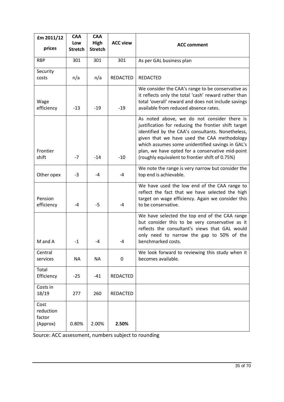| £m 2011/12                              | <b>CAA</b><br>Low | <b>CAA</b><br>High | <b>ACC view</b> | <b>ACC comment</b>                                                                                                                                                                                                                                                                                                                                                 |
|-----------------------------------------|-------------------|--------------------|-----------------|--------------------------------------------------------------------------------------------------------------------------------------------------------------------------------------------------------------------------------------------------------------------------------------------------------------------------------------------------------------------|
| prices                                  | <b>Stretch</b>    | <b>Stretch</b>     |                 |                                                                                                                                                                                                                                                                                                                                                                    |
| <b>RBP</b>                              | 301               | 301                | 301             | As per GAL business plan                                                                                                                                                                                                                                                                                                                                           |
| Security<br>costs                       | n/a               | n/a                | <b>REDACTED</b> | <b>REDACTED</b>                                                                                                                                                                                                                                                                                                                                                    |
| Wage<br>efficiency                      | $-13$             | $-19$              | $-19$           | We consider the CAA's range to be conservative as<br>it reflects only the total 'cash' reward rather than<br>total 'overall' reward and does not include savings<br>available from reduced absence rates.                                                                                                                                                          |
| Frontier<br>shift                       | $-7$              | $-14$              | $-10$           | As noted above, we do not consider there is<br>justification for reducing the frontier shift target<br>identified by the CAA's consultants. Nonetheless,<br>given that we have used the CAA methodology<br>which assumes some unidentified savings in GAL's<br>plan, we have opted for a conservative mid-point<br>(roughly equivalent to frontier shift of 0.75%) |
| Other opex                              | $-3$              | -4                 | -4              | We note the range is very narrow but consider the<br>top end is achievable.                                                                                                                                                                                                                                                                                        |
| Pension<br>efficiency                   | -4                | -5                 | -4              | We have used the low end of the CAA range to<br>reflect the fact that we have selected the high<br>target on wage efficiency. Again we consider this<br>to be conservative.                                                                                                                                                                                        |
| M and A                                 | $-1$              | -4                 | -4              | We have selected the top end of the CAA range<br>but consider this to be very conservative as it<br>reflects the consultant's views that GAL would<br>only need to narrow the gap to 50% of the<br>benchmarked costs.                                                                                                                                              |
| Central<br>services                     | <b>NA</b>         | <b>NA</b>          | 0               | We look forward to reviewing this study when it<br>becomes available.                                                                                                                                                                                                                                                                                              |
| Total<br>Efficiency                     | $-25$             | $-41$              | REDACTED        |                                                                                                                                                                                                                                                                                                                                                                    |
| Costs in<br>18/19                       | 277               | 260                | <b>REDACTED</b> |                                                                                                                                                                                                                                                                                                                                                                    |
| Cost<br>reduction<br>factor<br>(Approx) | 0.80%             | 2.00%              | 2.50%           |                                                                                                                                                                                                                                                                                                                                                                    |

Source: ACC assessment, numbers subject to rounding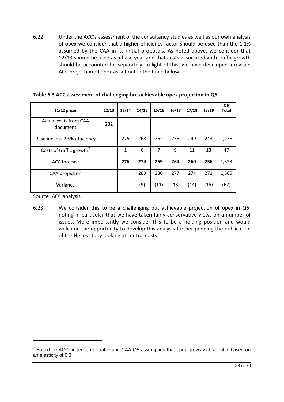6.22 Under the ACC's assessment of the consultancy studies as well as our own analysis of opex we consider that a higher efficiency factor should be used than the 1.1% assumed by the CAA in its initial proposals. As noted above, we consider that 12/13 should be used as a base year and that costs associated with traffic growth should be accounted for separately. In light of this, we have developed a revised ACC projection of opex as set out in the table below.

| $11/12$ prices                       | 12/13 | 13/14 | 14/15 | 15/16 | 16/17 | 17/18 | 18/19 | Q6<br>Total |
|--------------------------------------|-------|-------|-------|-------|-------|-------|-------|-------------|
| Actual costs from CAA<br>document    | 282   |       |       |       |       |       |       |             |
| Baseline less 2.5% efficiency        |       | 275   | 268   | 262   | 255   | 249   | 243   | 1,276       |
| Costs of traffic growth <sup>7</sup> |       | 1     | 6     | 7     | 9     | 11    | 13    | 47          |
| <b>ACC</b> forecast                  |       | 276   | 274   | 269   | 264   | 260   | 256   | 1,323       |
| CAA projection                       |       |       | 283   | 280   | 277   | 274   | 271   | 1,385       |
| Variance                             |       |       | (9)   | (11)  | (13)  | (14)  | (15)  | (62)        |

# **Table 6.3 ACC assessment of challenging but achievable opex projection in Q6**

Source: ACC analysis

-

6.23 We consider this to be a challenging but achievable projection of opex in Q6, noting in particular that we have taken fairly conservative views on a number of issues. More importantly we consider this to be a holding position and would welcome the opportunity to develop this analysis further pending the publication of the Helios study looking at central costs.

 $7$  Based on ACC projection of traffic and CAA Q5 assumption that opex grows with a traffic based on an elasticity of 0.3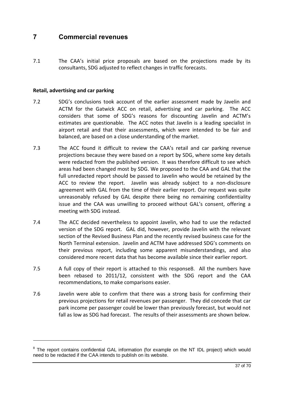# **7 Commercial revenues**

7.1 The CAA's initial price proposals are based on the projections made by its consultants, SDG adjusted to reflect changes in traffic forecasts.

# **Retail, advertising and car parking**

-

- 7.2 SDG's conclusions took account of the earlier assessment made by Javelin and ACTM for the Gatwick ACC on retail, advertising and car parking. The ACC considers that some of SDG's reasons for discounting Javelin and ACTM's estimates are questionable. The ACC notes that Javelin is a leading specialist in airport retail and that their assessments, which were intended to be fair and balanced, are based on a close understanding of the market.
- 7.3 The ACC found it difficult to review the CAA's retail and car parking revenue projections because they were based on a report by SDG, where some key details were redacted from the published version. It was therefore difficult to see which areas had been changed most by SDG. We proposed to the CAA and GAL that the full unredacted report should be passed to Javelin who would be retained by the ACC to review the report. Javelin was already subject to a non-disclosure agreement with GAL from the time of their earlier report. Our request was quite unreasonably refused by GAL despite there being no remaining confidentiality issue and the CAA was unwilling to proceed without GAL's consent, offering a meeting with SDG instead.
- 7.4 The ACC decided nevertheless to appoint Javelin, who had to use the redacted version of the SDG report. GAL did, however, provide Javelin with the relevant section of the Revised Business Plan and the recently revised business case for the North Terminal extension. Javelin and ACTM have addressed SDG's comments on their previous report, including some apparent misunderstandings, and also considered more recent data that has become available since their earlier report.
- 7.5 A full copy of their report is attached to this response8. All the numbers have been rebased to 2011/12, consistent with the SDG report and the CAA recommendations, to make comparisons easier.
- 7.6 Javelin were able to confirm that there was a strong basis for confirming their previous projections for retail revenues per passenger. They did concede that car park income per passenger could be lower than previously forecast, but would not fall as low as SDG had forecast. The results of their assessments are shown below.

 $8$  The report contains confidential GAL information (for example on the NT IDL project) which would need to be redacted if the CAA intends to publish on its website.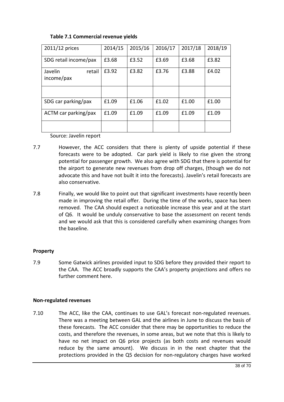| 2011/12 prices                  | 2014/15 | 2015/16 | 2016/17 | 2017/18 | 2018/19 |
|---------------------------------|---------|---------|---------|---------|---------|
| SDG retail income/pax           | £3.68   | £3.52   | £3.69   | £3.68   | £3.82   |
| Javelin<br>retail<br>income/pax | £3.92   | £3.82   | £3.76   | £3.88   | £4.02   |
|                                 |         |         |         |         |         |
| SDG car parking/pax             | £1.09   | £1.06   | f1.02   | £1.00   | £1.00   |
| ACTM car parking/pax            | £1.09   | £1.09   | £1.09   | £1.09   | £1.09   |
|                                 |         |         |         |         |         |

# **Table 7.1 Commercial revenue yields**

Source: Javelin report

- 7.7 However, the ACC considers that there is plenty of upside potential if these forecasts were to be adopted. Car park yield is likely to rise given the strong potential for passenger growth. We also agree with SDG that there is potential for the airport to generate new revenues from drop off charges, (though we do not advocate this and have not built it into the forecasts). Javelin's retail forecasts are also conservative.
- 7.8 Finally, we would like to point out that significant investments have recently been made in improving the retail offer. During the time of the works, space has been removed. The CAA should expect a noticeable increase this year and at the start of Q6. It would be unduly conservative to base the assessment on recent tends and we would ask that this is considered carefully when examining changes from the baseline.

## **Property**

7.9 Some Gatwick airlines provided input to SDG before they provided their report to the CAA. The ACC broadly supports the CAA's property projections and offers no further comment here.

## **Non-regulated revenues**

7.10 The ACC, like the CAA, continues to use GAL's forecast non-regulated revenues. There was a meeting between GAL and the airlines in June to discuss the basis of these forecasts. The ACC consider that there may be opportunities to reduce the costs, and therefore the revenues, in some areas, but we note that this is likely to have no net impact on Q6 price projects (as both costs and revenues would reduce by the same amount). We discuss in in the next chapter that the protections provided in the Q5 decision for non-regulatory charges have worked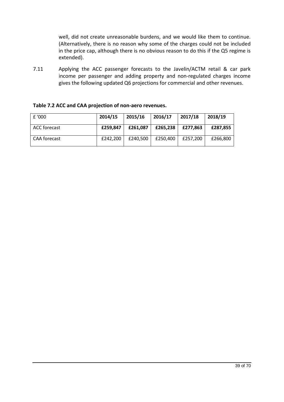well, did not create unreasonable burdens, and we would like them to continue. (Alternatively, there is no reason why some of the charges could not be included in the price cap, although there is no obvious reason to do this if the Q5 regime is extended).

7.11 Applying the ACC passenger forecasts to the Javelin/ACTM retail & car park income per passenger and adding property and non-regulated charges income gives the following updated Q6 projections for commercial and other revenues.

| E'000        | 2014/15  | 2015/16  | 2016/17  | 2017/18  | 2018/19  |
|--------------|----------|----------|----------|----------|----------|
| ACC forecast | £259,847 | £261.087 | £265.238 | £277.863 | £287,855 |
| CAA forecast | £242.200 | £240,500 | £250.400 | £257.200 | £266,800 |

## **Table 7.2 ACC and CAA projection of non-aero revenues.**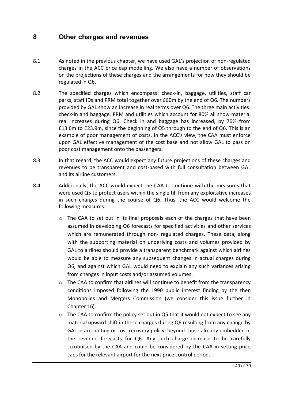# **8 Other charges and revenues**

- 8.1 As noted in the previous chapter, we have used GAL's projection of non-regulated charges in the ACC price cap modelling. We also have a number of observations on the projections of these charges and the arrangements for how they should be regulated in Q6.
- 8.2 The specified charges which encompass: check-in, baggage, utilities, staff car parks, staff IDs and PRM total together over £60m by the end of Q6. The numbers provided by GAL show an increase in real terms over Q6. The three main activities: check-in and baggage, PRM and utilities which account for 80% all show material real increases during Q6. Check in and baggage has increased, by 76% from £13.6m to £23.9m, since the beginning of Q5 through to the end of Q6. This is an example of poor management of costs. In the ACC's view, the CAA must enforce upon GAL effective management of the cost base and not allow GAL to pass on poor cost management onto the passengers.
- 8.3 In that regard, the ACC would expect any future projections of these charges and revenues to be transparent and cost-based with full consultation between GAL and its airline customers.
- 8.4 Additionally, the ACC would expect the CAA to continue with the measures that were used Q5 to protect users within the single till from any exploitative increases in such charges during the course of Q6. Thus, the ACC would welcome the following measures:
	- $\circ$  The CAA to set out in its final proposals each of the charges that have been assumed in developing Q6 forecasts for specified activities and other services which are remunerated through non- regulated charges. These data, along with the supporting material on underlying costs and volumes provided by GAL to airlines should provide a transparent benchmark against which airlines would be able to measure any subsequent changes in actual charges during Q6, and against which GAL would need to explain any such variances arising from changes in input costs and/or assumed volumes.
	- $\circ$  The CAA to confirm that airlines will continue to benefit from the transparency conditions imposed following the 1990 public interest finding by the then Monopolies and Mergers Commission (we consider this issue further in Chapter 16).
	- $\circ$  The CAA to confirm the policy set out in Q5 that it would not expect to see any material upward shift in these charges during Q6 resulting from any change by GAL in accounting or cost-recovery policy, beyond those already embedded in the revenue forecasts for Q6. Any such charge increase to be carefully scrutinised by the CAA and could be considered by the CAA in setting price caps for the relevant airport for the next price control period.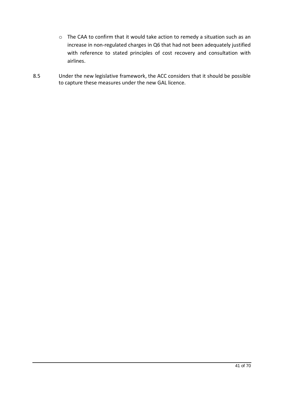- o The CAA to confirm that it would take action to remedy a situation such as an increase in non-regulated charges in Q6 that had not been adequately justified with reference to stated principles of cost recovery and consultation with airlines.
- 8.5 Under the new legislative framework, the ACC considers that it should be possible to capture these measures under the new GAL licence.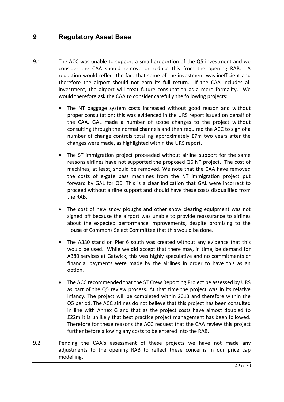# **9 Regulatory Asset Base**

- 9.1 The ACC was unable to support a small proportion of the Q5 investment and we consider the CAA should remove or reduce this from the opening RAB. A reduction would reflect the fact that some of the investment was inefficient and therefore the airport should not earn its full return. If the CAA includes all investment, the airport will treat future consultation as a mere formality. We would therefore ask the CAA to consider carefully the following projects:
	- · The NT baggage system costs increased without good reason and without proper consultation; this was evidenced in the URS report issued on behalf of the CAA. GAL made a number of scope changes to the project without consulting through the normal channels and then required the ACC to sign of a number of change controls totalling approximately £7m two years after the changes were made, as highlighted within the URS report.
	- · The ST immigration project proceeded without airline support for the same reasons airlines have not supported the proposed Q6 NT project. The cost of machines, at least, should be removed. We note that the CAA have removed the costs of e-gate pass machines from the NT immigration project put forward by GAL for Q6. This is a clear indication that GAL were incorrect to proceed without airline support and should have these costs disqualified from the RAB.
	- The cost of new snow ploughs and other snow clearing equipment was not signed off because the airport was unable to provide reassurance to airlines about the expected performance improvements, despite promising to the House of Commons Select Committee that this would be done.
	- The A380 stand on Pier 6 south was created without any evidence that this would be used. While we did accept that there may, in time, be demand for A380 services at Gatwick, this was highly speculative and no commitments or financial payments were made by the airlines in order to have this as an option.
	- The ACC recommended that the ST Crew Reporting Project be assessed by URS as part of the Q5 review process. At that time the project was in its relative infancy. The project will be completed within 2013 and therefore within the Q5 period. The ACC airlines do not believe that this project has been consulted in line with Annex G and that as the project costs have almost doubled to £22m it is unlikely that best practice project management has been followed. Therefore for these reasons the ACC request that the CAA review this project further before allowing any costs to be entered into the RAB.
- 9.2 Pending the CAA's assessment of these projects we have not made any adjustments to the opening RAB to reflect these concerns in our price cap modelling.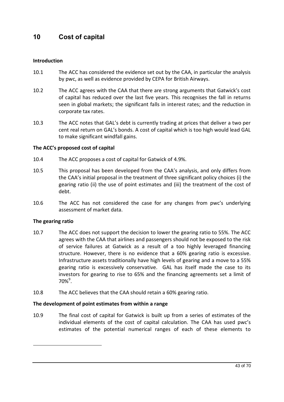# **10 Cost of capital**

# **Introduction**

- 10.1 The ACC has considered the evidence set out by the CAA, in particular the analysis by pwc, as well as evidence provided by CEPA for British Airways.
- 10.2 The ACC agrees with the CAA that there are strong arguments that Gatwick's cost of capital has reduced over the last five years. This recognises the fall in returns seen in global markets; the significant falls in interest rates; and the reduction in corporate tax rates.
- 10.3 The ACC notes that GAL's debt is currently trading at prices that deliver a two per cent real return on GAL's bonds. A cost of capital which is too high would lead GAL to make significant windfall gains.

# **The ACC's proposed cost of capital**

- 10.4 The ACC proposes a cost of capital for Gatwick of 4.9%.
- 10.5 This proposal has been developed from the CAA's analysis, and only differs from the CAA's initial proposal in the treatment of three significant policy choices (i) the gearing ratio (ii) the use of point estimates and (iii) the treatment of the cost of debt.
- 10.6 The ACC has not considered the case for any changes from pwc's underlying assessment of market data.

## **The gearing ratio**

1

- 10.7 The ACC does not support the decision to lower the gearing ratio to 55%. The ACC agrees with the CAA that airlines and passengers should not be exposed to the risk of service failures at Gatwick as a result of a too highly leveraged financing structure. However, there is no evidence that a 60% gearing ratio is excessive. Infrastructure assets traditionally have high levels of gearing and a move to a 55% gearing ratio is excessively conservative. GAL has itself made the case to its investors for gearing to rise to 65% and the financing agreements set a limit of  $70\%$ <sup>9</sup>.
- 10.8 The ACC believes that the CAA should retain a 60% gearing ratio.

## **The development of point estimates from within a range**

10.9 The final cost of capital for Gatwick is built up from a series of estimates of the individual elements of the cost of capital calculation. The CAA has used pwc's estimates of the potential numerical ranges of each of these elements to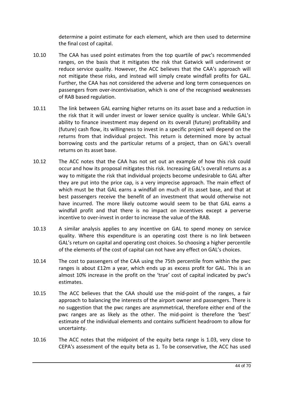determine a point estimate for each element, which are then used to determine the final cost of capital.

- 10.10 The CAA has used point estimates from the top quartile of pwc's recommended ranges, on the basis that it mitigates the risk that Gatwick will underinvest or reduce service quality. However, the ACC believes that the CAA's approach will not mitigate these risks, and instead will simply create windfall profits for GAL. Further, the CAA has not considered the adverse and long term consequences on passengers from over-incentivisation, which is one of the recognised weaknesses of RAB based regulation.
- 10.11 The link between GAL earning higher returns on its asset base and a reduction in the risk that it will under invest or lower service quality is unclear. While GAL's ability to finance investment may depend on its overall (future) profitability and (future) cash flow, its willingness to invest in a specific project will depend on the returns from that individual project. This return is determined more by actual borrowing costs and the particular returns of a project, than on GAL's overall returns on its asset base.
- 10.12 The ACC notes that the CAA has not set out an example of how this risk could occur and how its proposal mitigates this risk. Increasing GAL's overall returns as a way to mitigate the risk that individual projects become undesirable to GAL after they are put into the price cap, is a very imprecise approach. The main effect of which must be that GAL earns a windfall on much of its asset base, and that at best passengers receive the benefit of an investment that would otherwise not have incurred. The more likely outcome would seem to be that GAL earns a windfall profit and that there is no impact on incentives except a perverse incentive to over-invest in order to increase the value of the RAB.
- 10.13 A similar analysis applies to any incentive on GAL to spend money on service quality. Where this expenditure is an operating cost there is no link between GAL's return on capital and operating cost choices. So choosing a higher percentile of the elements of the cost of capital can not have any effect on GAL's choices.
- 10.14 The cost to passengers of the CAA using the 75th percentile from within the pwc ranges is about £12m a year, which ends up as excess profit for GAL. This is an almost 10% increase in the profit on the 'true' cost of capital indicated by pwc's estimates.
- 10.15 The ACC believes that the CAA should use the mid-point of the ranges, a fair approach to balancing the interests of the airport owner and passengers. There is no suggestion that the pwc ranges are asymmetrical, therefore either end of the pwc ranges are as likely as the other. The mid-point is therefore the 'best' estimate of the individual elements and contains sufficient headroom to allow for uncertainty.
- 10.16 The ACC notes that the midpoint of the equity beta range is 1.03, very close to CEPA's assessment of the equity beta as 1. To be conservative, the ACC has used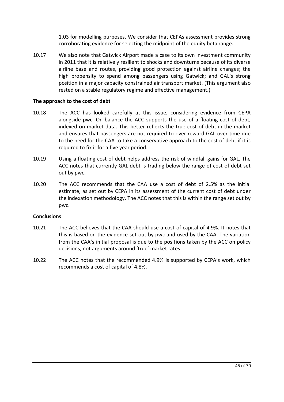1.03 for modelling purposes. We consider that CEPAs assessment provides strong corroborating evidence for selecting the midpoint of the equity beta range.

10.17 We also note that Gatwick Airport made a case to its own investment community in 2011 that it is relatively resilient to shocks and downturns because of its diverse airline base and routes, providing good protection against airline changes; the high propensity to spend among passengers using Gatwick; and GAL's strong position in a major capacity constrained air transport market. (This argument also rested on a stable regulatory regime and effective management.)

#### **The approach to the cost of debt**

- 10.18 The ACC has looked carefully at this issue, considering evidence from CEPA alongside pwc. On balance the ACC supports the use of a floating cost of debt, indexed on market data. This better reflects the true cost of debt in the market and ensures that passengers are not required to over-reward GAL over time due to the need for the CAA to take a conservative approach to the cost of debt if it is required to fix it for a five year period.
- 10.19 Using a floating cost of debt helps address the risk of windfall gains for GAL. The ACC notes that currently GAL debt is trading below the range of cost of debt set out by pwc.
- 10.20 The ACC recommends that the CAA use a cost of debt of 2.5% as the initial estimate, as set out by CEPA in its assessment of the current cost of debt under the indexation methodology. The ACC notes that this is within the range set out by pwc.

#### **Conclusions**

- 10.21 The ACC believes that the CAA should use a cost of capital of 4.9%. It notes that this is based on the evidence set out by pwc and used by the CAA. The variation from the CAA's initial proposal is due to the positions taken by the ACC on policy decisions, not arguments around 'true' market rates.
- 10.22 The ACC notes that the recommended 4.9% is supported by CEPA's work, which recommends a cost of capital of 4.8%.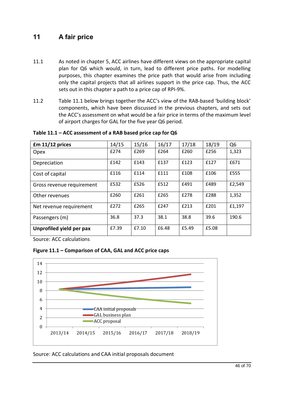# **11 A fair price**

- 11.1 As noted in chapter 5, ACC airlines have different views on the appropriate capital plan for Q6 which would, in turn, lead to different price paths. For modelling purposes, this chapter examines the price path that would arise from including only the capital projects that all airlines support in the price cap. Thus, the ACC sets out in this chapter a path to a price cap of RPI-9%.
- 11.2 Table 11.1 below brings together the ACC's view of the RAB-based 'building block' components, which have been discussed in the previous chapters, and sets out the ACC's assessment on what would be a fair price in terms of the maximum level of airport charges for GAL for the five year Q6 period.

| $Em 11/12$ prices         | 14/15 | 15/16 | 16/17 | 17/18 | 18/19 | Q <sub>6</sub> |
|---------------------------|-------|-------|-------|-------|-------|----------------|
| <b>Opex</b>               | £274  | £269  | £264  | £260  | £256  | 1,323          |
| Depreciation              | £142  | £143  | £137  | £123  | £127  | £671           |
| Cost of capital           | £116  | £114  | £111  | £108  | £106  | £555           |
| Gross revenue requirement | £532  | £526  | £512  | £491  | £489  | £2,549         |
| Other revenues            | £260  | £261  | £265  | £278  | £288  | 1,352          |
| Net revenue requirement   | f272  | £265  | £247  | £213  | £201  | £1,197         |
| Passengers (m)            | 36.8  | 37.3  | 38.1  | 38.8  | 39.6  | 190.6          |
| Unprofiled yield per pax  | £7.39 | £7.10 | £6.48 | £5.49 | £5.08 |                |

# **Table 11.1 – ACC assessment of a RAB based price cap for Q6**

Source: ACC calculations

# **Figure 11.1 – Comparison of CAA, GAL and ACC price caps**



Source: ACC calculations and CAA initial proposals document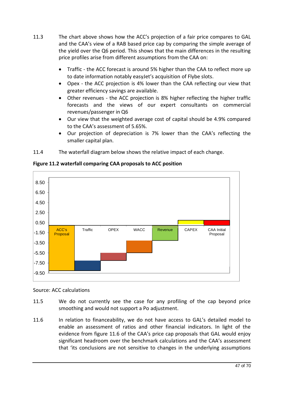- 11.3 The chart above shows how the ACC's projection of a fair price compares to GAL and the CAA's view of a RAB based price cap by comparing the simple average of the yield over the Q6 period. This shows that the main differences in the resulting price profiles arise from different assumptions from the CAA on:
	- Traffic the ACC forecast is around 5% higher than the CAA to reflect more up to date information notably easyJet's acquisition of Flybe slots.
	- · Opex the ACC projection is 4% lower than the CAA reflecting our view that greater efficiency savings are available.
	- · Other revenues the ACC projection is 8% higher reflecting the higher traffic forecasts and the views of our expert consultants on commercial revenues/passenger in Q6
	- · Our view that the weighted average cost of capital should be 4.9% compared to the CAA's assessment of 5.65%.
	- · Our projection of depreciation is 7% lower than the CAA's reflecting the smaller capital plan.
- 11.4 The waterfall diagram below shows the relative impact of each change.



**Figure 11.2 waterfall comparing CAA proposals to ACC position**

Source: ACC calculations

- 11.5 We do not currently see the case for any profiling of the cap beyond price smoothing and would not support a Po adjustment.
- 11.6 In relation to financeability, we do not have access to GAL's detailed model to enable an assessment of ratios and other financial indicators. In light of the evidence from figure 11.6 of the CAA's price cap proposals that GAL would enjoy significant headroom over the benchmark calculations and the CAA's assessment that 'its conclusions are not sensitive to changes in the underlying assumptions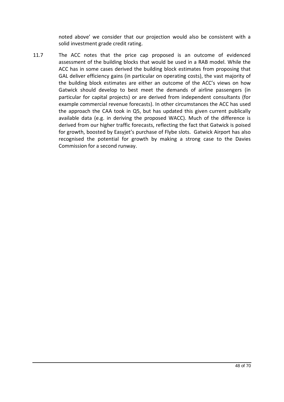noted above' we consider that our projection would also be consistent with a solid investment grade credit rating.

11.7 The ACC notes that the price cap proposed is an outcome of evidenced assessment of the building blocks that would be used in a RAB model. While the ACC has in some cases derived the building block estimates from proposing that GAL deliver efficiency gains (in particular on operating costs), the vast majority of the building block estimates are either an outcome of the ACC's views on how Gatwick should develop to best meet the demands of airline passengers (in particular for capital projects) or are derived from independent consultants (for example commercial revenue forecasts). In other circumstances the ACC has used the approach the CAA took in Q5, but has updated this given current publically available data (e.g. in deriving the proposed WACC). Much of the difference is derived from our higher traffic forecasts, reflecting the fact that Gatwick is poised for growth, boosted by Easyjet's purchase of Flybe slots. Gatwick Airport has also recognised the potential for growth by making a strong case to the Davies Commission for a second runway.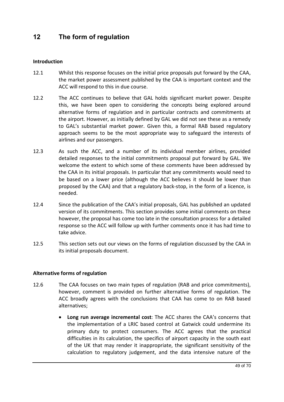# **12 The form of regulation**

# **Introduction**

- 12.1 Whilst this response focuses on the initial price proposals put forward by the CAA, the market power assessment published by the CAA is important context and the ACC will respond to this in due course.
- 12.2 The ACC continues to believe that GAL holds significant market power. Despite this, we have been open to considering the concepts being explored around alternative forms of regulation and in particular contracts and commitments at the airport. However, as initially defined by GAL we did not see these as a remedy to GAL's substantial market power. Given this, a formal RAB based regulatory approach seems to be the most appropriate way to safeguard the interests of airlines and our passengers.
- 12.3 As such the ACC, and a number of its individual member airlines, provided detailed responses to the initial commitments proposal put forward by GAL. We welcome the extent to which some of these comments have been addressed by the CAA in its initial proposals. In particular that any commitments would need to be based on a lower price (although the ACC believes it should be lower than proposed by the CAA) and that a regulatory back-stop, in the form of a licence, is needed.
- 12.4 Since the publication of the CAA's initial proposals, GAL has published an updated version of its commitments. This section provides some initial comments on these however, the proposal has come too late in the consultation process for a detailed response so the ACC will follow up with further comments once it has had time to take advice.
- 12.5 This section sets out our views on the forms of regulation discussed by the CAA in its initial proposals document.

## **Alternative forms of regulation**

- 12.6 The CAA focuses on two main types of regulation (RAB and price commitments), however, comment is provided on further alternative forms of regulation. The ACC broadly agrees with the conclusions that CAA has come to on RAB based alternatives;
	- · **Long run average incremental cost**: The ACC shares the CAA's concerns that the implementation of a LRIC based control at Gatwick could undermine its primary duty to protect consumers. The ACC agrees that the practical difficulties in its calculation, the specifics of airport capacity in the south east of the UK that may render it inappropriate, the significant sensitivity of the calculation to regulatory judgement, and the data intensive nature of the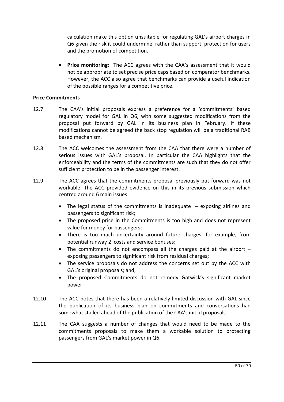calculation make this option unsuitable for regulating GAL's airport charges in Q6 given the risk it could undermine, rather than support, protection for users and the promotion of competition.

· **Price monitoring:** The ACC agrees with the CAA's assessment that it would not be appropriate to set precise price caps based on comparator benchmarks. However, the ACC also agree that benchmarks can provide a useful indication of the possible ranges for a competitive price.

# **Price Commitments**

- 12.7 The CAA's initial proposals express a preference for a 'commitments' based regulatory model for GAL in Q6, with some suggested modifications from the proposal put forward by GAL in its business plan in February. If these modifications cannot be agreed the back stop regulation will be a traditional RAB based mechanism.
- 12.8 The ACC welcomes the assessment from the CAA that there were a number of serious issues with GAL's proposal. In particular the CAA highlights that the enforceability and the terms of the commitments are such that they do not offer sufficient protection to be in the passenger interest.
- 12.9 The ACC agrees that the commitments proposal previously put forward was not workable. The ACC provided evidence on this in its previous submission which centred around 6 main issues:
	- The legal status of the commitments is inadequate  $-$  exposing airlines and passengers to significant risk;
	- · The proposed price in the Commitments is too high and does not represent value for money for passengers;
	- There is too much uncertainty around future charges; for example, from potential runway 2 costs and service bonuses;
	- The commitments do not encompass all the charges paid at the airport  $$ exposing passengers to significant risk from residual charges;
	- · The service proposals do not address the concerns set out by the ACC with GAL's original proposals; and,
	- The proposed Commitments do not remedy Gatwick's significant market power
- 12.10 The ACC notes that there has been a relatively limited discussion with GAL since the publication of its business plan on commitments and conversations had somewhat stalled ahead of the publication of the CAA's initial proposals.
- 12.11 The CAA suggests a number of changes that would need to be made to the commitments proposals to make them a workable solution to protecting passengers from GAL's market power in Q6.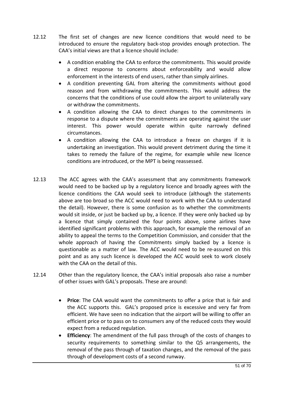- 12.12 The first set of changes are new licence conditions that would need to be introduced to ensure the regulatory back-stop provides enough protection. The CAA's initial views are that a licence should include:
	- · A condition enabling the CAA to enforce the commitments. This would provide a direct response to concerns about enforceability and would allow enforcement in the interests of end users, rather than simply airlines.
	- · A condition preventing GAL from altering the commitments without good reason and from withdrawing the commitments. This would address the concerns that the conditions of use could allow the airport to unilaterally vary or withdraw the commitments.
	- · A condition allowing the CAA to direct changes to the commitments in response to a dispute where the commitments are operating against the user interest. This power would operate within quite narrowly defined circumstances.
	- · A condition allowing the CAA to introduce a freeze on charges if it is undertaking an investigation. This would prevent detriment during the time it takes to remedy the failure of the regime, for example while new licence conditions are introduced, or the MPT is being reassessed.
- 12.13 The ACC agrees with the CAA's assessment that any commitments framework would need to be backed up by a regulatory licence and broadly agrees with the licence conditions the CAA would seek to introduce (although the statements above are too broad so the ACC would need to work with the CAA to understand the detail). However, there is some confusion as to whether the commitments would sit inside, or just be backed up by, a licence. If they were only backed up by a licence that simply contained the four points above, some airlines have identified significant problems with this approach, for example the removal of an ability to appeal the terms to the Competition Commission, and consider that the whole approach of having the Commitments simply backed by a licence is questionable as a matter of law. The ACC would need to be re-assured on this point and as any such licence is developed the ACC would seek to work closely with the CAA on the detail of this.
- 12.14 Other than the regulatory licence, the CAA's initial proposals also raise a number of other issues with GAL's proposals. These are around:
	- · **Price**: The CAA would want the commitments to offer a price that is fair and the ACC supports this. GAL's proposed price is excessive and very far from efficient. We have seen no indication that the airport will be willing to offer an efficient price or to pass on to consumers any of the reduced costs they would expect from a reduced regulation.
	- · **Efficiency**: The amendment of the full pass through of the costs of changes to security requirements to something similar to the Q5 arrangements, the removal of the pass through of taxation changes, and the removal of the pass through of development costs of a second runway.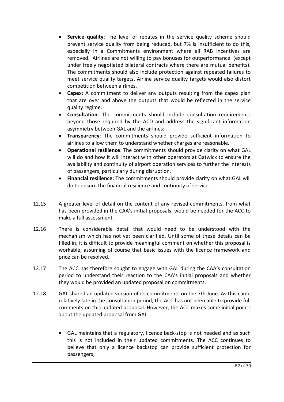- · **Service quality**: The level of rebates in the service quality scheme should prevent service quality from being reduced, but 7% is insufficient to do this, especially in a Commitments environment where all RAB incentives are removed. Airlines are not willing to pay bonuses for outperformance (except under freely negotiated bilateral contracts where there are mutual benefits). The commitments should also include protection against repeated failures to meet service quality targets. Airline service quality targets would also distort competition between airlines.
- · **Capex**: A commitment to deliver any outputs resulting from the capex plan that are over and above the outputs that would be reflected in the service quality regime.
- · **Consultation**: The commitments should include consultation requirements beyond those required by the ACD and address the significant information asymmetry between GAL and the airlines;
- · **Transparency**: The commitments should provide sufficient information to airlines to allow them to understand whether charges are reasonable.
- · **Operational resilience**: The commitments should provide clarity on what GAL will do and how it will interact with other operators at Gatwick to ensure the availability and continuity of airport operation services to further the interests of passengers, particularly during disruption.
- · **Financial resilience:** The commitments should provide clarity on what GAL will do to ensure the financial resilience and continuity of service.
- 12.15 A greater level of detail on the content of any revised commitments, from what has been provided in the CAA's initial proposals, would be needed for the ACC to make a full assessment.
- 12.16 There is considerable detail that would need to be understood with the mechanism which has not yet been clarified. Until some of these details can be filled in, it is difficult to provide meaningful comment on whether this proposal is workable, assuming of course that basic issues with the licence framework and price can be resolved.
- 12.17 The ACC has therefore sought to engage with GAL during the CAA's consultation period to understand their reaction to the CAA's initial proposals and whether they would be provided an updated proposal on commitments.
- 12.18 GAL shared an updated version of its commitments on the 7th June. As this came relatively late in the consultation period, the ACC has not been able to provide full comments on this updated proposal. However, the ACC makes some initial points about the updated proposal from GAL:
	- · GAL maintains that a regulatory, licence back-stop is not needed and as such this is not included in their updated commitments. The ACC continues to believe that only a licence backstop can provide sufficient protection for passengers;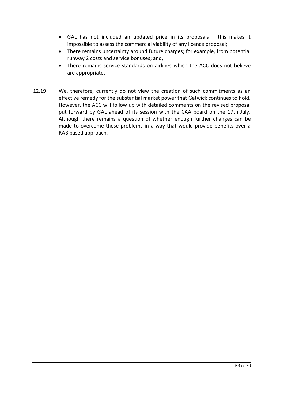- · GAL has not included an updated price in its proposals this makes it impossible to assess the commercial viability of any licence proposal;
- · There remains uncertainty around future charges; for example, from potential runway 2 costs and service bonuses; and,
- · There remains service standards on airlines which the ACC does not believe are appropriate.
- 12.19 We, therefore, currently do not view the creation of such commitments as an effective remedy for the substantial market power that Gatwick continues to hold. However, the ACC will follow up with detailed comments on the revised proposal put forward by GAL ahead of its session with the CAA board on the 17th July. Although there remains a question of whether enough further changes can be made to overcome these problems in a way that would provide benefits over a RAB based approach.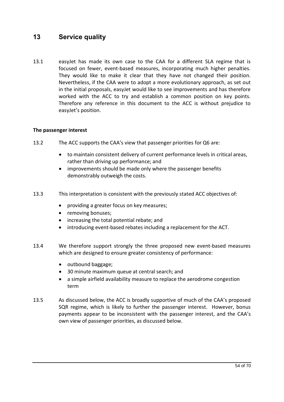# **13 Service quality**

13.1 easyJet has made its own case to the CAA for a different SLA regime that is focused on fewer, event-based measures, incorporating much higher penalties. They would like to make it clear that they have not changed their position. Nevertheless, if the CAA were to adopt a more evolutionary approach, as set out in the initial proposals, easyJet would like to see improvements and has therefore worked with the ACC to try and establish a common position on key points. Therefore any reference in this document to the ACC is without prejudice to easyJet's position.

## **The passenger interest**

- 13.2 The ACC supports the CAA's view that passenger priorities for Q6 are:
	- · to maintain consistent delivery of current performance levels in critical areas, rather than driving up performance; and
	- improvements should be made only where the passenger benefits demonstrably outweigh the costs.
- 13.3 This interpretation is consistent with the previously stated ACC objectives of:
	- · providing a greater focus on key measures;
	- removing bonuses;
	- · increasing the total potential rebate; and
	- introducing event-based rebates including a replacement for the ACT.
- 13.4 We therefore support strongly the three proposed new event-based measures which are designed to ensure greater consistency of performance:
	- outbound baggage;
	- · 30 minute maximum queue at central search; and
	- a simple airfield availability measure to replace the aerodrome congestion term
- 13.5 As discussed below, the ACC is broadly supportive of much of the CAA's proposed SQR regime, which is likely to further the passenger interest. However, bonus payments appear to be inconsistent with the passenger interest, and the CAA's own view of passenger priorities, as discussed below.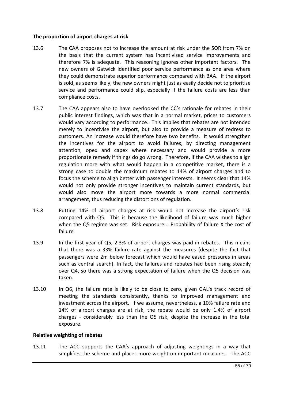# **The proportion of airport charges at risk**

- 13.6 The CAA proposes not to increase the amount at risk under the SQR from 7% on the basis that the current system has incentivised service improvements and therefore 7% is adequate. This reasoning ignores other important factors. The new owners of Gatwick identified poor service performance as one area where they could demonstrate superior performance compared with BAA. If the airport is sold, as seems likely, the new owners might just as easily decide not to prioritise service and performance could slip, especially if the failure costs are less than compliance costs.
- 13.7 The CAA appears also to have overlooked the CC's rationale for rebates in their public interest findings, which was that in a normal market, prices to customers would vary according to performance. This implies that rebates are not intended merely to incentivise the airport, but also to provide a measure of redress to customers. An increase would therefore have two benefits. It would strengthen the incentives for the airport to avoid failures, by directing management attention, opex and capex where necessary and would provide a more proportionate remedy if things do go wrong. Therefore, if the CAA wishes to align regulation more with what would happen in a competitive market, there is a strong case to double the maximum rebates to 14% of airport charges and to focus the scheme to align better with passenger interests. It seems clear that 14% would not only provide stronger incentives to maintain current standards, but would also move the airport more towards a more normal commercial arrangement, thus reducing the distortions of regulation.
- 13.8 Putting 14% of airport charges at risk would not increase the airport's risk compared with Q5. This is because the likelihood of failure was much higher when the Q5 regime was set. Risk exposure = Probability of failure X the cost of failure
- 13.9 In the first year of Q5, 2.3% of airport charges was paid in rebates. This means that there was a 33% failure rate against the measures (despite the fact that passengers were 2m below forecast which would have eased pressures in areas such as central search). In fact, the failures and rebates had been rising steadily over Q4, so there was a strong expectation of failure when the Q5 decision was taken.
- 13.10 In Q6, the failure rate is likely to be close to zero, given GAL's track record of meeting the standards consistently, thanks to improved management and investment across the airport. If we assume, nevertheless, a 10% failure rate and 14% of airport charges are at risk, the rebate would be only 1.4% of airport charges - considerably less than the Q5 risk, despite the increase in the total exposure.

## **Relative weighting of rebates**

13.11 The ACC supports the CAA's approach of adjusting weightings in a way that simplifies the scheme and places more weight on important measures. The ACC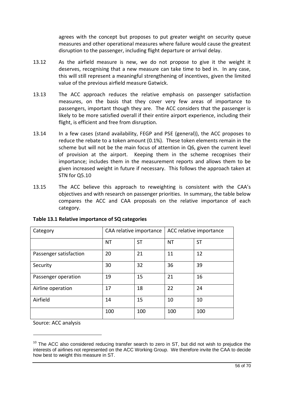agrees with the concept but proposes to put greater weight on security queue measures and other operational measures where failure would cause the greatest disruption to the passenger, including flight departure or arrival delay.

- 13.12 As the airfield measure is new, we do not propose to give it the weight it deserves, recognising that a new measure can take time to bed in. In any case, this will still represent a meaningful strengthening of incentives, given the limited value of the previous airfield measure Gatwick.
- 13.13 The ACC approach reduces the relative emphasis on passenger satisfaction measures, on the basis that they cover very few areas of importance to passengers, important though they are. The ACC considers that the passenger is likely to be more satisfied overall if their entire airport experience, including their flight, is efficient and free from disruption.
- 13.14 In a few cases (stand availability, FEGP and PSE (general)), the ACC proposes to reduce the rebate to a token amount (0.1%). These token elements remain in the scheme but will not be the main focus of attention in Q6, given the current level of provision at the airport. Keeping them in the scheme recognises their importance; includes them in the measurement reports and allows them to be given increased weight in future if necessary. This follows the approach taken at STN for Q5.10
- 13.15 The ACC believe this approach to reweighting is consistent with the CAA's objectives and with research on passenger priorities. In summary, the table below compares the ACC and CAA proposals on the relative importance of each category.

| Category               | CAA relative importance |           | ACC relative importance |           |
|------------------------|-------------------------|-----------|-------------------------|-----------|
|                        | <b>NT</b>               | <b>ST</b> | <b>NT</b>               | <b>ST</b> |
| Passenger satisfaction | 20                      | 21        | 11                      | 12        |
| Security               | 30                      | 32        | 36                      | 39        |
| Passenger operation    | 19                      | 15        | 21                      | 16        |
| Airline operation      | 17                      | 18        | 22                      | 24        |
| Airfield               | 14                      | 15        | 10                      | 10        |
|                        | 100                     | 100       | 100                     | 100       |

# **Table 13.1 Relative importance of SQ categories**

Source: ACC analysis

1

 $10$  The ACC also considered reducing transfer search to zero in ST, but did not wish to prejudice the interests of airlines not represented on the ACC Working Group. We therefore invite the CAA to decide how best to weight this measure in ST.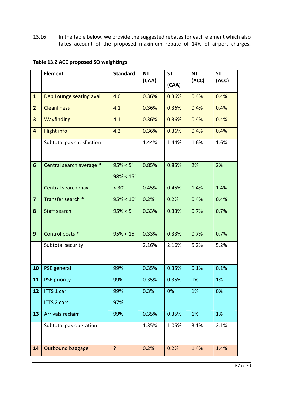13.16 In the table below, we provide the suggested rebates for each element which also takes account of the proposed maximum rebate of 14% of airport charges.

# **Table 13.2 ACC proposed SQ weightings**

|                         | <b>Element</b>            | <b>Standard</b> | <b>NT</b><br>(CAA) | <b>ST</b> | <b>NT</b><br>(ACC) | <b>ST</b><br>(ACC) |
|-------------------------|---------------------------|-----------------|--------------------|-----------|--------------------|--------------------|
|                         |                           |                 |                    | (CAA)     |                    |                    |
| $\mathbf{1}$            | Dep Lounge seating avail  | 4.0             | 0.36%              | 0.36%     | 0.4%               | 0.4%               |
| $\overline{2}$          | <b>Cleanliness</b>        | 4.1             | 0.36%              | 0.36%     | 0.4%               | 0.4%               |
| 3                       | Wayfinding                | 4.1             | 0.36%              | 0.36%     | 0.4%               | 0.4%               |
| $\overline{\mathbf{4}}$ | <b>Flight info</b>        | 4.2             | 0.36%              | 0.36%     | 0.4%               | 0.4%               |
|                         | Subtotal pax satisfaction |                 | 1.44%              | 1.44%     | 1.6%               | 1.6%               |
|                         |                           |                 |                    |           |                    |                    |
| $6\phantom{1}$          | Central search average *  | 95% < 5'        | 0.85%              | 0.85%     | 2%                 | 2%                 |
|                         |                           | $98\% < 15'$    |                    |           |                    |                    |
|                         | Central search max        | < 30'           | 0.45%              | 0.45%     | 1.4%               | 1.4%               |
| $\overline{\mathbf{z}}$ | Transfer search *         | $95\% < 10'$    | 0.2%               | 0.2%      | 0.4%               | 0.4%               |
| 8                       | Staff search +            | 95% < 5         | 0.33%              | 0.33%     | 0.7%               | 0.7%               |
|                         |                           |                 |                    |           |                    |                    |
| $\mathbf{9}$            | Control posts *           | $95\% < 15'$    | 0.33%              | 0.33%     | 0.7%               | 0.7%               |
|                         | Subtotal security         |                 | 2.16%              | 2.16%     | 5.2%               | 5.2%               |
|                         |                           |                 |                    |           |                    |                    |
| 10                      | PSE general               | 99%             | 0.35%              | 0.35%     | 0.1%               | 0.1%               |
| 11                      | <b>PSE priority</b>       | 99%             | 0.35%              | 0.35%     | 1%                 | 1%                 |
| 12                      | <b>ITTS 1 car</b>         | 99%             | 0.3%               | 0%        | 1%                 | 0%                 |
|                         | <b>ITTS 2 cars</b>        | 97%             |                    |           |                    |                    |
| 13                      | Arrivals reclaim          | 99%             | 0.35%              | 0.35%     | 1%                 | 1%                 |
|                         | Subtotal pax operation    |                 | 1.35%              | 1.05%     | 3.1%               | 2.1%               |
|                         |                           |                 |                    |           |                    |                    |
| 14                      | Outbound baggage          | ?               | 0.2%               | 0.2%      | 1.4%               | 1.4%               |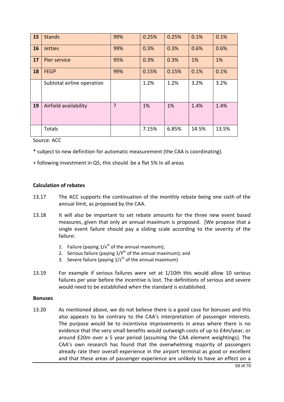| 15 | <b>Stands</b>              | 99% | 0.25% | 0.25% | 0.1%  | 0.1%  |
|----|----------------------------|-----|-------|-------|-------|-------|
| 16 | <b>Jetties</b>             | 99% | 0.3%  | 0.3%  | 0.6%  | 0.6%  |
| 17 | Pier service               | 95% | 0.3%  | 0.3%  | 1%    | 1%    |
| 18 | <b>FEGP</b>                | 99% | 0.15% | 0.15% | 0.1%  | 0.1%  |
|    | Subtotal airline operation |     | 1.2%  | 1.2%  | 3.2%  | 3.2%  |
| 19 | Airfield availability      | ?   | 1%    | 1%    | 1.4%  | 1.4%  |
|    | Totals                     |     | 7.15% | 6.85% | 14.5% | 13.5% |

Source: ACC

- \* subject to new definition for automatic measurement (the CAA is coordinating).
- + following investment in Q5, this should be a flat 5% In all areas

#### **Calculation of rebates**

- 13.17 The ACC supports the continuation of the monthly rebate being one sixth of the annual limit, as proposed by the CAA.
- 13.18 It will also be important to set rebate amounts for the three new event based measures, given that only an annual maximum is proposed. [We propose that a single event failure should pay a sliding scale according to the severity of the failure:
	- 1. Failure (paying  $1/x^{th}$  of the annual maximum);
	- 2. Serious failure (paying  $1/Y^{th}$  of the annual maximum); and
	- 3. Severe failure (paying  $1/z^{th}$  of the annual maximum)
- 13.19 For example if serious failures were set at 1/10th this would allow 10 serious failures per year before the incentive is lost. The definitions of serious and severe would need to be established when the standard is established.

#### **Bonuses**

13.20 As mentioned above, we do not believe there is a good case for bonuses and this also appears to be contrary to the CAA's interpretation of passenger interests. The purpose would be to incentivise improvements in areas where there is no evidence that the very small benefits would outweigh costs of up to £4m/year, or around £20m over a 5 year period (assuming the CAA element weightings). The CAA's own research has found that the overwhelming majority of passengers already rate their overall experience in the airport terminal as good or excellent and that these areas of passenger experience are unlikely to have an effect on a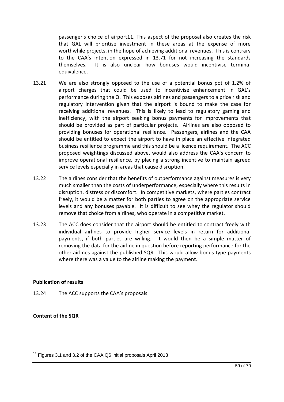passenger's choice of airport11. This aspect of the proposal also creates the risk that GAL will prioritise investment in these areas at the expense of more worthwhile projects, in the hope of achieving additional revenues. This is contrary to the CAA's intention expressed in 13.71 for not increasing the standards themselves. It is also unclear how bonuses would incentivise terminal equivalence.

- 13.21 We are also strongly opposed to the use of a potential bonus pot of 1.2% of airport charges that could be used to incentivise enhancement in GAL's performance during the Q. This exposes airlines and passengers to a price risk and regulatory intervention given that the airport is bound to make the case for receiving additional revenues. This is likely to lead to regulatory gaming and inefficiency, with the airport seeking bonus payments for improvements that should be provided as part of particular projects. Airlines are also opposed to providing bonuses for operational resilience. Passengers, airlines and the CAA should be entitled to expect the airport to have in place an effective integrated business resilience programme and this should be a licence requirement. The ACC proposed weightings discussed above, would also address the CAA's concern to improve operational resilience, by placing a strong incentive to maintain agreed service levels especially in areas that cause disruption.
- 13.22 The airlines consider that the benefits of outperformance against measures is very much smaller than the costs of underperformance, especially where this results in disruption, distress or discomfort. In competitive markets, where parties contract freely, it would be a matter for both parties to agree on the appropriate service levels and any bonuses payable. It is difficult to see whey the regulator should remove that choice from airlines, who operate in a competitive market.
- 13.23 The ACC does consider that the airport should be entitled to contract freely with individual airlines to provide higher service levels in return for additional payments, if both parties are willing. It would then be a simple matter of removing the data for the airline in question before reporting performance for the other airlines against the published SQR. This would allow bonus type payments where there was a value to the airline making the payment.

# **Publication of results**

13.24 The ACC supports the CAA's proposals

# **Content of the SQR**

1

 $11$  Figures 3.1 and 3.2 of the CAA Q6 initial proposals April 2013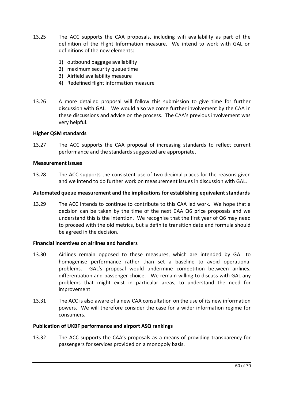- 13.25 The ACC supports the CAA proposals, including wifi availability as part of the definition of the Flight Information measure. We intend to work with GAL on definitions of the new elements:
	- 1) outbound baggage availability
	- 2) maximum security queue time
	- 3) Airfield availability measure
	- 4) Redefined flight information measure
- 13.26 A more detailed proposal will follow this submission to give time for further discussion with GAL. We would also welcome further involvement by the CAA in these discussions and advice on the process. The CAA's previous involvement was very helpful.

## **Higher QSM standards**

13.27 The ACC supports the CAA proposal of increasing standards to reflect current performance and the standards suggested are appropriate.

#### **Measurement issues**

13.28 The ACC supports the consistent use of two decimal places for the reasons given and we intend to do further work on measurement issues in discussion with GAL.

#### **Automated queue measurement and the implications for establishing equivalent standards**

13.29 The ACC intends to continue to contribute to this CAA led work. We hope that a decision can be taken by the time of the next CAA Q6 price proposals and we understand this is the intention. We recognise that the first year of Q6 may need to proceed with the old metrics, but a definite transition date and formula should be agreed in the decision.

## **Financial incentives on airlines and handlers**

- 13.30 Airlines remain opposed to these measures, which are intended by GAL to homogenise performance rather than set a baseline to avoid operational problems. GAL's proposal would undermine competition between airlines, differentiation and passenger choice. We remain willing to discuss with GAL any problems that might exist in particular areas, to understand the need for improvement
- 13.31 The ACC is also aware of a new CAA consultation on the use of its new information powers. We will therefore consider the case for a wider information regime for consumers.

## **Publication of UKBF performance and airport ASQ rankings**

13.32 The ACC supports the CAA's proposals as a means of providing transparency for passengers for services provided on a monopoly basis.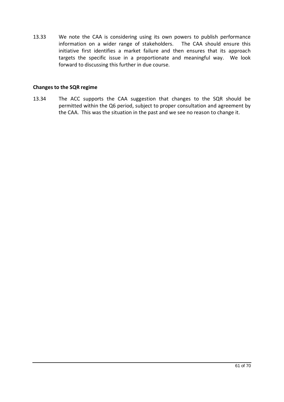13.33 We note the CAA is considering using its own powers to publish performance information on a wider range of stakeholders. The CAA should ensure this initiative first identifies a market failure and then ensures that its approach targets the specific issue in a proportionate and meaningful way. We look forward to discussing this further in due course.

#### **Changes to the SQR regime**

13.34 The ACC supports the CAA suggestion that changes to the SQR should be permitted within the Q6 period, subject to proper consultation and agreement by the CAA. This was the situation in the past and we see no reason to change it.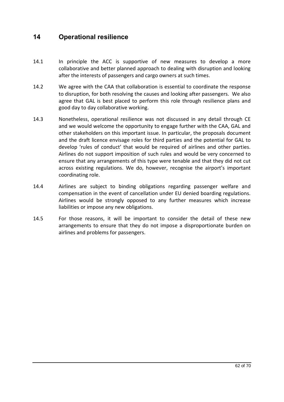# **14 Operational resilience**

- 14.1 In principle the ACC is supportive of new measures to develop a more collaborative and better planned approach to dealing with disruption and looking after the interests of passengers and cargo owners at such times.
- 14.2 We agree with the CAA that collaboration is essential to coordinate the response to disruption, for both resolving the causes and looking after passengers. We also agree that GAL is best placed to perform this role through resilience plans and good day to day collaborative working.
- 14.3 Nonetheless, operational resilience was not discussed in any detail through CE and we would welcome the opportunity to engage further with the CAA, GAL and other stakeholders on this important issue. In particular, the proposals document and the draft licence envisage roles for third parties and the potential for GAL to develop 'rules of conduct' that would be required of airlines and other parties. Airlines do not support imposition of such rules and would be very concerned to ensure that any arrangements of this type were tenable and that they did not cut across existing regulations. We do, however, recognise the airport's important coordinating role.
- 14.4 Airlines are subject to binding obligations regarding passenger welfare and compensation in the event of cancellation under EU denied boarding regulations. Airlines would be strongly opposed to any further measures which increase liabilities or impose any new obligations.
- 14.5 For those reasons, it will be important to consider the detail of these new arrangements to ensure that they do not impose a disproportionate burden on airlines and problems for passengers.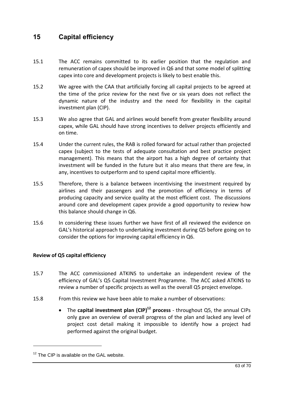# **15 Capital efficiency**

- 15.1 The ACC remains committed to its earlier position that the regulation and remuneration of capex should be improved in Q6 and that some model of splitting capex into core and development projects is likely to best enable this.
- 15.2 We agree with the CAA that artificially forcing all capital projects to be agreed at the time of the price review for the next five or six years does not reflect the dynamic nature of the industry and the need for flexibility in the capital investment plan (CIP).
- 15.3 We also agree that GAL and airlines would benefit from greater flexibility around capex, while GAL should have strong incentives to deliver projects efficiently and on time.
- 15.4 Under the current rules, the RAB is rolled forward for actual rather than projected capex (subject to the tests of adequate consultation and best practice project management). This means that the airport has a high degree of certainty that investment will be funded in the future but it also means that there are few, in any, incentives to outperform and to spend capital more efficiently.
- 15.5 Therefore, there is a balance between incentivising the investment required by airlines and their passengers and the promotion of efficiency in terms of producing capacity and service quality at the most efficient cost. The discussions around core and development capex provide a good opportunity to review how this balance should change in Q6.
- 15.6 In considering these issues further we have first of all reviewed the evidence on GAL's historical approach to undertaking investment during Q5 before going on to consider the options for improving capital efficiency in Q6.

# **Review of Q5 capital efficiency**

- 15.7 The ACC commissioned ATKINS to undertake an independent review of the efficiency of GAL's Q5 Capital Investment Programme. The ACC asked ATKINS to review a number of specific projects as well as the overall Q5 project envelope.
- 15.8 From this review we have been able to make a number of observations:
	- The **capital investment plan (CIP)<sup>12</sup> process** throughout Q5, the annual CIPs only gave an overview of overall progress of the plan and lacked any level of project cost detail making it impossible to identify how a project had performed against the original budget.

1

 $12$  The CIP is available on the GAL website.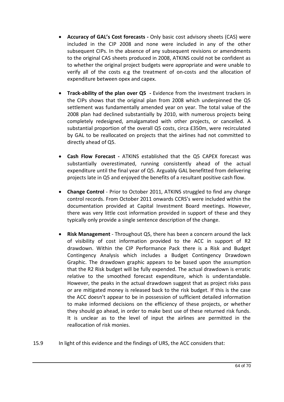- · **Accuracy of GAL's Cost forecasts -** Only basic cost advisory sheets (CAS) were included in the CIP 2008 and none were included in any of the other subsequent CIPs. In the absence of any subsequent revisions or amendments to the original CAS sheets produced in 2008, ATKINS could not be confident as to whether the original project budgets were appropriate and were unable to verify all of the costs e.g the treatment of on-costs and the allocation of expenditure between opex and capex.
- · **Track-ability of the plan over Q5 -** Evidence from the investment trackers in the CIPs shows that the original plan from 2008 which underpinned the Q5 settlement was fundamentally amended year on year. The total value of the 2008 plan had declined substantially by 2010, with numerous projects being completely redesigned, amalgamated with other projects, or cancelled. A substantial proportion of the overall Q5 costs, circa £350m, were recirculated by GAL to be reallocated on projects that the airlines had not committed to directly ahead of Q5.
- · **Cash Flow Forecast -** ATKINS established that the Q5 CAPEX forecast was substantially overestimated, running consistently ahead of the actual expenditure until the final year of Q5. Arguably GAL benefitted from delivering projects late in Q5 and enjoyed the benefits of a resultant positive cash flow.
- · **Change Control**  Prior to October 2011, ATKINS struggled to find any change control records. From October 2011 onwards CCRS's were included within the documentation provided at Capital Investment Board meetings. However, there was very little cost information provided in support of these and they typically only provide a single sentence description of the change.
- · **Risk Management**  Throughout Q5, there has been a concern around the lack of visibility of cost information provided to the ACC in support of R2 drawdown. Within the CIP Performance Pack there is a Risk and Budget Contingency Analysis which includes a Budget Contingency Drawdown Graphic. The drawdown graphic appears to be based upon the assumption that the R2 Risk budget will be fully expended. The actual drawdown is erratic relative to the smoothed forecast expenditure, which is understandable. However, the peaks in the actual drawdown suggest that as project risks pass or are mitigated money is released back to the risk budget. If this is the case the ACC doesn't appear to be in possession of sufficient detailed information to make informed decisions on the efficiency of these projects, or whether they should go ahead, in order to make best use of these returned risk funds. It is unclear as to the level of input the airlines are permitted in the reallocation of risk monies.
- 15.9 In light of this evidence and the findings of URS, the ACC considers that: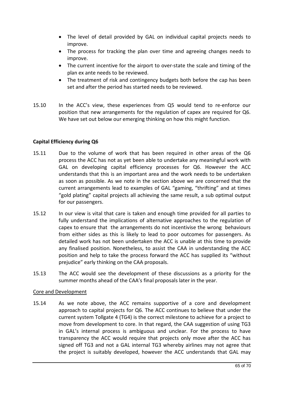- · The level of detail provided by GAL on individual capital projects needs to improve.
- · The process for tracking the plan over time and agreeing changes needs to improve.
- · The current incentive for the airport to over-state the scale and timing of the plan ex ante needs to be reviewed.
- The treatment of risk and contingency budgets both before the cap has been set and after the period has started needs to be reviewed.
- 15.10 In the ACC's view, these experiences from Q5 would tend to re-enforce our position that new arrangements for the regulation of capex are required for Q6. We have set out below our emerging thinking on how this might function.

# **Capital Efficiency during Q6**

- 15.11 Due to the volume of work that has been required in other areas of the Q6 process the ACC has not as yet been able to undertake any meaningful work with GAL on developing capital efficiency processes for Q6. However the ACC understands that this is an important area and the work needs to be undertaken as soon as possible. As we note in the section above we are concerned that the current arrangements lead to examples of GAL "gaming, "thrifting" and at times "gold plating" capital projects all achieving the same result, a sub optimal output for our passengers.
- 15.12 In our view is vital that care is taken and enough time provided for all parties to fully understand the implications of alternative approaches to the regulation of capex to ensure that the arrangements do not incentivise the wrong behaviours from either sides as this is likely to lead to poor outcomes for passengers. As detailed work has not been undertaken the ACC is unable at this time to provide any finalised position. Nonetheless, to assist the CAA in understanding the ACC position and help to take the process forward the ACC has supplied its "without prejudice" early thinking on the CAA proposals.
- 15.13 The ACC would see the development of these discussions as a priority for the summer months ahead of the CAA's final proposals later in the year.

# Core and Development

15.14 As we note above, the ACC remains supportive of a core and development approach to capital projects for Q6. The ACC continues to believe that under the current system Tollgate 4 (TG4) is the correct milestone to achieve for a project to move from development to core. In that regard, the CAA suggestion of using TG3 in GAL's internal process is ambiguous and unclear. For the process to have transparency the ACC would require that projects only move after the ACC has signed off TG3 and not a GAL internal TG3 whereby airlines may not agree that the project is suitably developed, however the ACC understands that GAL may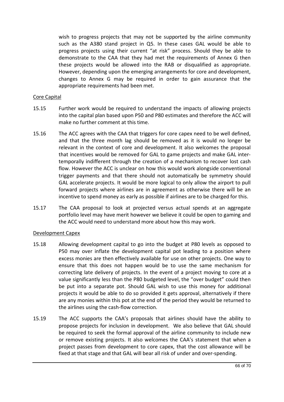wish to progress projects that may not be supported by the airline community such as the A380 stand project in Q5. In these cases GAL would be able to progress projects using their current "at risk" process. Should they be able to demonstrate to the CAA that they had met the requirements of Annex G then these projects would be allowed into the RAB or disqualified as appropriate. However, depending upon the emerging arrangements for core and development, changes to Annex G may be required in order to gain assurance that the appropriate requirements had been met.

# Core Capital

- 15.15 Further work would be required to understand the impacts of allowing projects into the capital plan based upon P50 and P80 estimates and therefore the ACC will make no further comment at this time.
- 15.16 The ACC agrees with the CAA that triggers for core capex need to be well defined, and that the three month lag should be removed as it is would no longer be relevant in the context of core and development. It also welcomes the proposal that incentives would be removed for GAL to game projects and make GAL intertemporally indifferent through the creation of a mechanism to recover lost cash flow. However the ACC is unclear on how this would work alongside conventional trigger payments and that there should not automatically be symmetry should GAL accelerate projects. It would be more logical to only allow the airport to pull forward projects where airlines are in agreement as otherwise there will be an incentive to spend money as early as possible if airlines are to be charged for this.
- 15.17 The CAA proposal to look at projected versus actual spends at an aggregate portfolio level may have merit however we believe it could be open to gaming and the ACC would need to understand more about how this may work.

## Development Capex

- 15.18 Allowing development capital to go into the budget at P80 levels as opposed to P50 may over inflate the development capital pot leading to a position where excess monies are then effectively available for use on other projects. One way to ensure that this does not happen would be to use the same mechanism for correcting late delivery of projects. In the event of a project moving to core at a value significantly less than the P80 budgeted level, the "over budget" could then be put into a separate pot. Should GAL wish to use this money for additional projects it would be able to do so provided it gets approval, alternatively if there are any monies within this pot at the end of the period they would be returned to the airlines using the cash-flow correction.
- 15.19 The ACC supports the CAA's proposals that airlines should have the ability to propose projects for inclusion in development. We also believe that GAL should be required to seek the formal approval of the airline community to include new or remove existing projects. It also welcomes the CAA's statement that when a project passes from development to core capex, that the cost allowance will be fixed at that stage and that GAL will bear all risk of under and over-spending.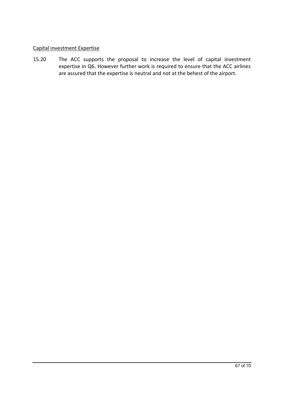# Capital investment Expertise

15.20 The ACC supports the proposal to increase the level of capital investment expertise in Q6. However further work is required to ensure that the ACC airlines are assured that the expertise is neutral and not at the behest of the airport.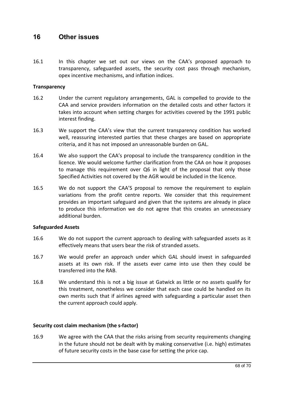# **16 Other issues**

16.1 In this chapter we set out our views on the CAA's proposed approach to transparency, safeguarded assets, the security cost pass through mechanism, opex incentive mechanisms, and inflation indices.

# **Transparency**

- 16.2 Under the current regulatory arrangements, GAL is compelled to provide to the CAA and service providers information on the detailed costs and other factors it takes into account when setting charges for activities covered by the 1991 public interest finding.
- 16.3 We support the CAA's view that the current transparency condition has worked well, reassuring interested parties that these charges are based on appropriate criteria, and it has not imposed an unreasonable burden on GAL.
- 16.4 We also support the CAA's proposal to include the transparency condition in the licence. We would welcome further clarification from the CAA on how it proposes to manage this requirement over Q6 in light of the proposal that only those Specified Activities not covered by the AGR would be included in the licence.
- 16.5 We do not support the CAA'S proposal to remove the requirement to explain variations from the profit centre reports. We consider that this requirement provides an important safeguard and given that the systems are already in place to produce this information we do not agree that this creates an unnecessary additional burden.

## **Safeguarded Assets**

- 16.6 We do not support the current approach to dealing with safeguarded assets as it effectively means that users bear the risk of stranded assets.
- 16.7 We would prefer an approach under which GAL should invest in safeguarded assets at its own risk. If the assets ever came into use then they could be transferred into the RAB.
- 16.8 We understand this is not a big issue at Gatwick as little or no assets qualify for this treatment, nonetheless we consider that each case could be handled on its own merits such that if airlines agreed with safeguarding a particular asset then the current approach could apply.

# **Security cost claim mechanism (the s-factor)**

16.9 We agree with the CAA that the risks arising from security requirements changing in the future should not be dealt with by making conservative (i.e. high) estimates of future security costs in the base case for setting the price cap.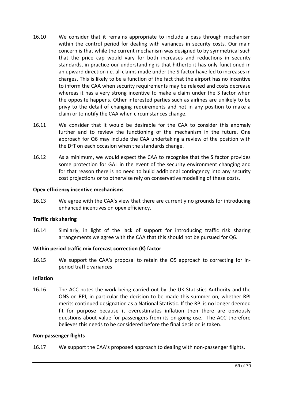- 16.10 We consider that it remains appropriate to include a pass through mechanism within the control period for dealing with variances in security costs. Our main concern is that while the current mechanism was designed to by symmetrical such that the price cap would vary for both increases and reductions in security standards, in practice our understanding is that hitherto it has only functioned in an upward direction i.e. all claims made under the S-factor have led to increases in charges. This is likely to be a function of the fact that the airport has no incentive to inform the CAA when security requirements may be relaxed and costs decrease whereas it has a very strong incentive to make a claim under the S factor when the opposite happens. Other interested parties such as airlines are unlikely to be privy to the detail of changing requirements and not in any position to make a claim or to notify the CAA when circumstances change.
- 16.11 We consider that it would be desirable for the CAA to consider this anomaly further and to review the functioning of the mechanism in the future. One approach for Q6 may include the CAA undertaking a review of the position with the DfT on each occasion when the standards change.
- 16.12 As a minimum, we would expect the CAA to recognise that the S factor provides some protection for GAL in the event of the security environment changing and for that reason there is no need to build additional contingency into any security cost projections or to otherwise rely on conservative modelling of these costs.

# **Opex efficiency incentive mechanisms**

16.13 We agree with the CAA's view that there are currently no grounds for introducing enhanced incentives on opex efficiency.

# **Traffic risk sharing**

16.14 Similarly, in light of the lack of support for introducing traffic risk sharing arrangements we agree with the CAA that this should not be pursued for Q6.

# **Within period traffic mix forecast correction (K) factor**

16.15 We support the CAA's proposal to retain the Q5 approach to correcting for inperiod traffic variances

## **Inflation**

16.16 The ACC notes the work being carried out by the UK Statistics Authority and the ONS on RPI, in particular the decision to be made this summer on, whether RPI merits continued designation as a National Statistic. If the RPI is no longer deemed fit for purpose because it overestimates inflation then there are obviously questions about value for passengers from its on-going use. The ACC therefore believes this needs to be considered before the final decision is taken.

## **Non-passenger flights**

16.17 We support the CAA's proposed approach to dealing with non-passenger flights.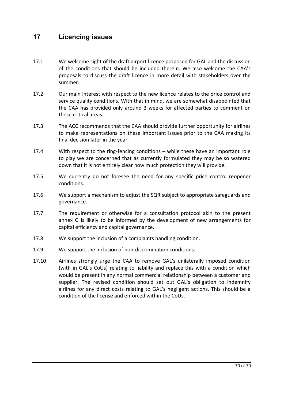# **17 Licencing issues**

- 17.1 We welcome sight of the draft airport licence proposed for GAL and the discussion of the conditions that should be included therein. We also welcome the CAA's proposals to discuss the draft licence in more detail with stakeholders over the summer.
- 17.2 Our main interest with respect to the new licence relates to the price control and service quality conditions. With that in mind, we are somewhat disappointed that the CAA has provided only around 3 weeks for affected parties to comment on these critical areas.
- 17.3 The ACC recommends that the CAA should provide further opportunity for airlines to make representations on these important issues prior to the CAA making its final decision later in the year.
- 17.4 With respect to the ring-fencing conditions while these have an important role to play we are concerned that as currently formulated they may be so watered down that it is not entirely clear how much protection they will provide.
- 17.5 We currently do not foresee the need for any specific price control reopener conditions.
- 17.6 We support a mechanism to adjust the SQR subject to appropriate safeguards and governance.
- 17.7 The requirement or otherwise for a consultation protocol akin to the present annex G is likely to be informed by the development of new arrangements for capital efficiency and capital governance.
- 17.8 We support the inclusion of a complaints handling condition.
- 17.9 We support the inclusion of non-discrimination conditions.
- 17.10 Airlines strongly urge the CAA to remove GAL's unilaterally imposed condition (with in GAL's CoUs) relating to liability and replace this with a condition which would be present in any normal commercial relationship between a customer and supplier. The revised condition should set out GAL's obligation to indemnify airlines for any direct costs relating to GAL's negligent actions. This should be a condition of the license and enforced within the CoUs.